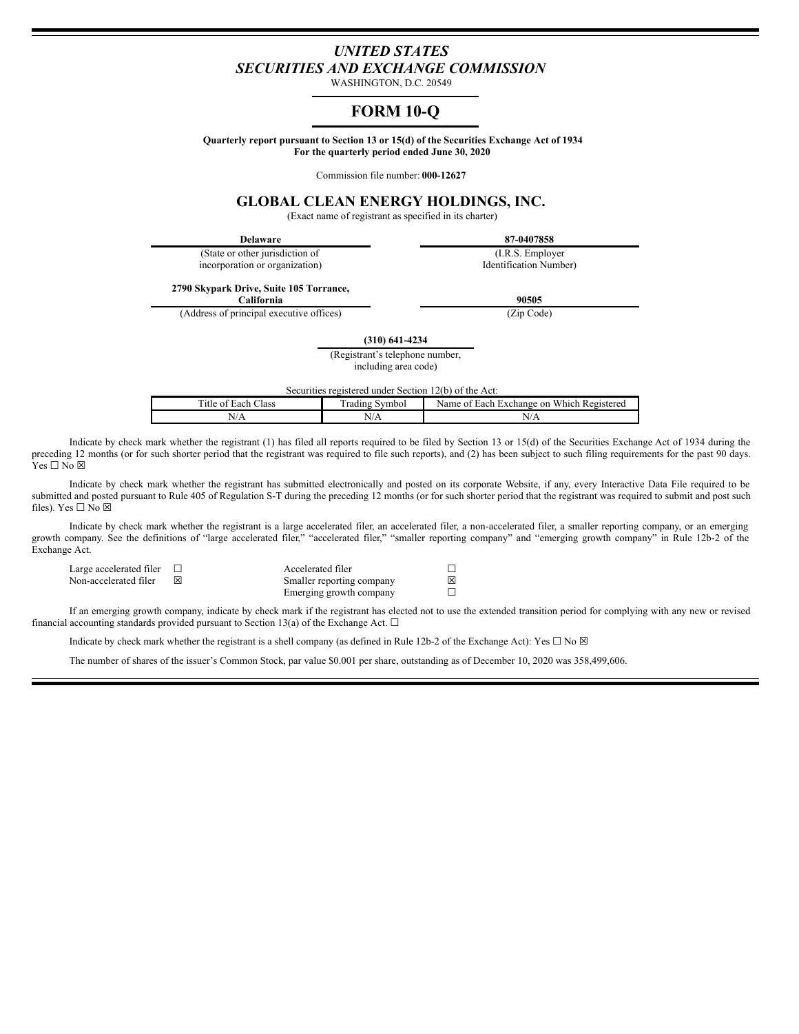# *UNITED STATES SECURITIES AND EXCHANGE COMMISSION*

WASHINGTON, D.C. 20549

# **FORM 10-Q**

**Quarterly report pursuant to Section 13 or 15(d) of the Securities Exchange Act of 1934 For the quarterly period ended June 30, 2020**

Commission file number: **000-12627**

# **GLOBAL CLEAN ENERGY HOLDINGS, INC.**

(Exact name of registrant as specified in its charter)

**Delaware 87-0407858**

(State or other jurisdiction of incorporation or organization)

(I.R.S. Employer Identification Number)

**2790 Skypark Drive, Suite 105 Torrance,**

(Address of principal executive offices) (Zip Code)

**California 90505**

**(310) 641-4234**

(Registrant's telephone number, including area code)

Securities registered under Section 12(b) of the Act:

| Title of .<br>-lass<br>Each | radıng<br>Symbol | <b>Each Exchange on Which Registered</b><br>Name of |
|-----------------------------|------------------|-----------------------------------------------------|
| N/A                         | N/A              | N/A                                                 |

Indicate by check mark whether the registrant (1) has filed all reports required to be filed by Section 13 or 15(d) of the Securities Exchange Act of 1934 during the preceding 12 months (or for such shorter period that the registrant was required to file such reports), and (2) has been subject to such filing requirements for the past 90 days.  $Yes \Box No \boxtimes$ 

Indicate by check mark whether the registrant has submitted electronically and posted on its corporate Website, if any, every Interactive Data File required to be submitted and posted pursuant to Rule 405 of Regulation S-T during the preceding 12 months (or for such shorter period that the registrant was required to submit and post such files). Yes  $\square$  No  $\boxtimes$ 

Indicate by check mark whether the registrant is a large accelerated filer, an accelerated filer, a non-accelerated filer, a smaller reporting company, or an emerging growth company. See the definitions of "large accelerated filer," "accelerated filer," "smaller reporting company" and "emerging growth company" in Rule 12b-2 of the Exchange Act.

Large accelerated filer ☐ Accelerated filer ☐

Smaller reporting company Emerging growth company

| Ÿ<br>1 |
|--------|
|        |

If an emerging growth company, indicate by check mark if the registrant has elected not to use the extended transition period for complying with any new or revised financial accounting standards provided pursuant to Section 13(a) of the Exchange Act.  $\Box$ 

Indicate by check mark whether the registrant is a shell company (as defined in Rule 12b-2 of the Exchange Act): Yes  $\Box$  No  $\boxtimes$ 

The number of shares of the issuer's Common Stock, par value \$0.001 per share, outstanding as of December 10, 2020 was 358,499,606.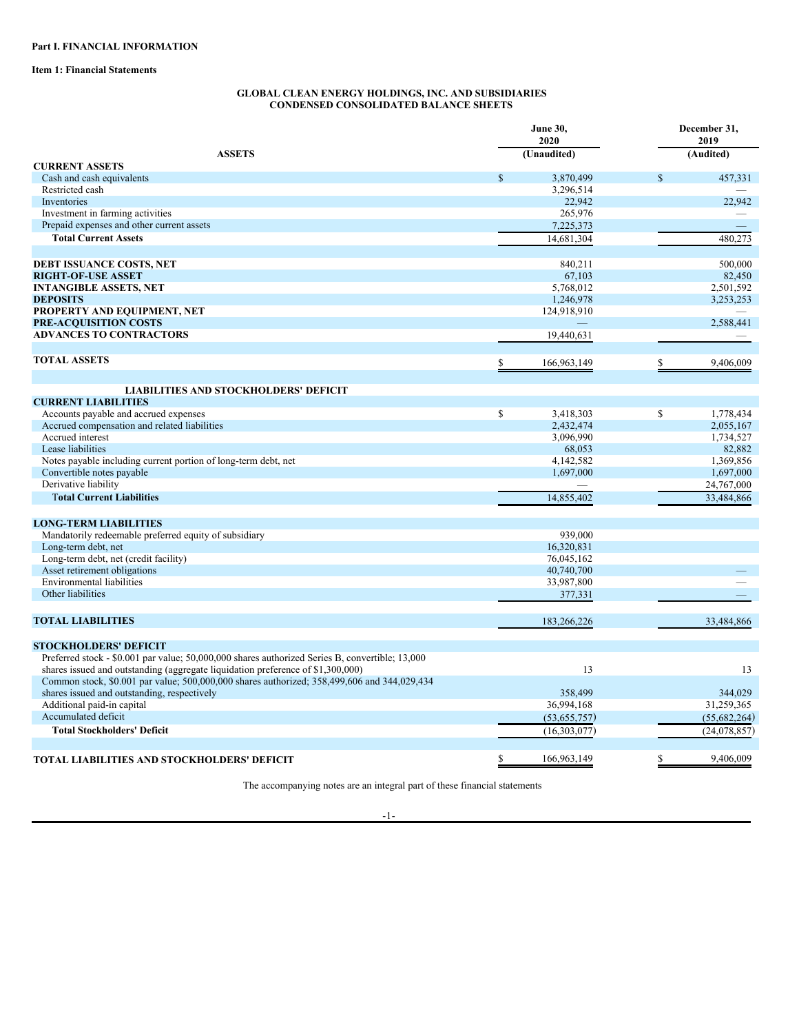**Item 1: Financial Statements**

### **GLOBAL CLEAN ENERGY HOLDINGS, INC. AND SUBSIDIARIES CONDENSED CONSOLIDATED BALANCE SHEETS**

| (Audited)<br><b>ASSETS</b><br>(Unaudited)<br><b>CURRENT ASSETS</b><br>$\$$<br>$\mathbb{S}$<br>457,331<br>Cash and cash equivalents<br>3,870,499<br>Restricted cash<br>3,296,514<br>22,942<br>Inventories<br>22,942<br>265,976<br>Investment in farming activities<br>Prepaid expenses and other current assets<br>7,225,373<br><b>Total Current Assets</b><br>480,273<br>14,681,304<br>500,000<br>DEBT ISSUANCE COSTS, NET<br>840,211<br>82,450<br><b>RIGHT-OF-USE ASSET</b><br>67,103<br><b>INTANGIBLE ASSETS, NET</b><br>5,768,012<br>2,501,592<br><b>DEPOSITS</b><br>1,246,978<br>3,253,253<br>PROPERTY AND EQUIPMENT, NET<br>124,918,910<br>PRE-ACQUISITION COSTS<br>2,588,441<br><b>ADVANCES TO CONTRACTORS</b><br>19,440,631<br><b>TOTAL ASSETS</b><br>166,963,149<br>9,406,009<br><b>LIABILITIES AND STOCKHOLDERS' DEFICIT</b><br><b>CURRENT LIABILITIES</b><br>\$<br>Accounts payable and accrued expenses<br>\$<br>3,418,303<br>1,778,434<br>Accrued compensation and related liabilities<br>2,432,474<br>2,055,167<br>Accrued interest<br>3,096,990<br>1,734,527<br>Lease liabilities<br>68,053<br>82,882<br>1,369,856<br>Notes payable including current portion of long-term debt, net<br>4,142,582<br>Convertible notes payable<br>1,697,000<br>1,697,000<br>Derivative liability<br>24,767,000<br><b>Total Current Liabilities</b><br>14,855,402<br>33,484,866<br><b>LONG-TERM LIABILITIES</b><br>Mandatorily redeemable preferred equity of subsidiary<br>939,000<br>Long-term debt, net<br>16,320,831<br>Long-term debt, net (credit facility)<br>76,045,162<br>Asset retirement obligations<br>40,740,700<br><b>Environmental liabilities</b><br>33,987,800<br>Other liabilities<br>377,331<br><b>TOTAL LIABILITIES</b><br>33,484,866<br>183,266,226<br><b>STOCKHOLDERS' DEFICIT</b><br>Preferred stock - \$0.001 par value; 50,000,000 shares authorized Series B, convertible; 13,000<br>shares issued and outstanding (aggregate liquidation preference of \$1,300,000)<br>13<br>13<br>Common stock, \$0.001 par value; 500,000,000 shares authorized; 358,499,606 and 344,029,434<br>shares issued and outstanding, respectively<br>358,499<br>344,029<br>Additional paid-in capital<br>36,994,168<br>31,259,365<br>Accumulated deficit<br>(53,655,757)<br>(55,682,264)<br><b>Total Stockholders' Deficit</b><br>(16,303,077)<br>(24, 078, 857)<br>166,963,149<br>9,406,009<br>TOTAL LIABILITIES AND STOCKHOLDERS' DEFICIT |  |  | <b>June 30,</b><br>2020 | December 31,<br>2019 |  |
|-------------------------------------------------------------------------------------------------------------------------------------------------------------------------------------------------------------------------------------------------------------------------------------------------------------------------------------------------------------------------------------------------------------------------------------------------------------------------------------------------------------------------------------------------------------------------------------------------------------------------------------------------------------------------------------------------------------------------------------------------------------------------------------------------------------------------------------------------------------------------------------------------------------------------------------------------------------------------------------------------------------------------------------------------------------------------------------------------------------------------------------------------------------------------------------------------------------------------------------------------------------------------------------------------------------------------------------------------------------------------------------------------------------------------------------------------------------------------------------------------------------------------------------------------------------------------------------------------------------------------------------------------------------------------------------------------------------------------------------------------------------------------------------------------------------------------------------------------------------------------------------------------------------------------------------------------------------------------------------------------------------------------------------------------------------------------------------------------------------------------------------------------------------------------------------------------------------------------------------------------------------------------------------------------------------------------------------------------------------------------------------------------------------------------------------------------|--|--|-------------------------|----------------------|--|
|                                                                                                                                                                                                                                                                                                                                                                                                                                                                                                                                                                                                                                                                                                                                                                                                                                                                                                                                                                                                                                                                                                                                                                                                                                                                                                                                                                                                                                                                                                                                                                                                                                                                                                                                                                                                                                                                                                                                                                                                                                                                                                                                                                                                                                                                                                                                                                                                                                                 |  |  |                         |                      |  |
|                                                                                                                                                                                                                                                                                                                                                                                                                                                                                                                                                                                                                                                                                                                                                                                                                                                                                                                                                                                                                                                                                                                                                                                                                                                                                                                                                                                                                                                                                                                                                                                                                                                                                                                                                                                                                                                                                                                                                                                                                                                                                                                                                                                                                                                                                                                                                                                                                                                 |  |  |                         |                      |  |
|                                                                                                                                                                                                                                                                                                                                                                                                                                                                                                                                                                                                                                                                                                                                                                                                                                                                                                                                                                                                                                                                                                                                                                                                                                                                                                                                                                                                                                                                                                                                                                                                                                                                                                                                                                                                                                                                                                                                                                                                                                                                                                                                                                                                                                                                                                                                                                                                                                                 |  |  |                         |                      |  |
|                                                                                                                                                                                                                                                                                                                                                                                                                                                                                                                                                                                                                                                                                                                                                                                                                                                                                                                                                                                                                                                                                                                                                                                                                                                                                                                                                                                                                                                                                                                                                                                                                                                                                                                                                                                                                                                                                                                                                                                                                                                                                                                                                                                                                                                                                                                                                                                                                                                 |  |  |                         |                      |  |
|                                                                                                                                                                                                                                                                                                                                                                                                                                                                                                                                                                                                                                                                                                                                                                                                                                                                                                                                                                                                                                                                                                                                                                                                                                                                                                                                                                                                                                                                                                                                                                                                                                                                                                                                                                                                                                                                                                                                                                                                                                                                                                                                                                                                                                                                                                                                                                                                                                                 |  |  |                         |                      |  |
|                                                                                                                                                                                                                                                                                                                                                                                                                                                                                                                                                                                                                                                                                                                                                                                                                                                                                                                                                                                                                                                                                                                                                                                                                                                                                                                                                                                                                                                                                                                                                                                                                                                                                                                                                                                                                                                                                                                                                                                                                                                                                                                                                                                                                                                                                                                                                                                                                                                 |  |  |                         |                      |  |
|                                                                                                                                                                                                                                                                                                                                                                                                                                                                                                                                                                                                                                                                                                                                                                                                                                                                                                                                                                                                                                                                                                                                                                                                                                                                                                                                                                                                                                                                                                                                                                                                                                                                                                                                                                                                                                                                                                                                                                                                                                                                                                                                                                                                                                                                                                                                                                                                                                                 |  |  |                         |                      |  |
|                                                                                                                                                                                                                                                                                                                                                                                                                                                                                                                                                                                                                                                                                                                                                                                                                                                                                                                                                                                                                                                                                                                                                                                                                                                                                                                                                                                                                                                                                                                                                                                                                                                                                                                                                                                                                                                                                                                                                                                                                                                                                                                                                                                                                                                                                                                                                                                                                                                 |  |  |                         |                      |  |
|                                                                                                                                                                                                                                                                                                                                                                                                                                                                                                                                                                                                                                                                                                                                                                                                                                                                                                                                                                                                                                                                                                                                                                                                                                                                                                                                                                                                                                                                                                                                                                                                                                                                                                                                                                                                                                                                                                                                                                                                                                                                                                                                                                                                                                                                                                                                                                                                                                                 |  |  |                         |                      |  |
|                                                                                                                                                                                                                                                                                                                                                                                                                                                                                                                                                                                                                                                                                                                                                                                                                                                                                                                                                                                                                                                                                                                                                                                                                                                                                                                                                                                                                                                                                                                                                                                                                                                                                                                                                                                                                                                                                                                                                                                                                                                                                                                                                                                                                                                                                                                                                                                                                                                 |  |  |                         |                      |  |
|                                                                                                                                                                                                                                                                                                                                                                                                                                                                                                                                                                                                                                                                                                                                                                                                                                                                                                                                                                                                                                                                                                                                                                                                                                                                                                                                                                                                                                                                                                                                                                                                                                                                                                                                                                                                                                                                                                                                                                                                                                                                                                                                                                                                                                                                                                                                                                                                                                                 |  |  |                         |                      |  |
|                                                                                                                                                                                                                                                                                                                                                                                                                                                                                                                                                                                                                                                                                                                                                                                                                                                                                                                                                                                                                                                                                                                                                                                                                                                                                                                                                                                                                                                                                                                                                                                                                                                                                                                                                                                                                                                                                                                                                                                                                                                                                                                                                                                                                                                                                                                                                                                                                                                 |  |  |                         |                      |  |
|                                                                                                                                                                                                                                                                                                                                                                                                                                                                                                                                                                                                                                                                                                                                                                                                                                                                                                                                                                                                                                                                                                                                                                                                                                                                                                                                                                                                                                                                                                                                                                                                                                                                                                                                                                                                                                                                                                                                                                                                                                                                                                                                                                                                                                                                                                                                                                                                                                                 |  |  |                         |                      |  |
|                                                                                                                                                                                                                                                                                                                                                                                                                                                                                                                                                                                                                                                                                                                                                                                                                                                                                                                                                                                                                                                                                                                                                                                                                                                                                                                                                                                                                                                                                                                                                                                                                                                                                                                                                                                                                                                                                                                                                                                                                                                                                                                                                                                                                                                                                                                                                                                                                                                 |  |  |                         |                      |  |
|                                                                                                                                                                                                                                                                                                                                                                                                                                                                                                                                                                                                                                                                                                                                                                                                                                                                                                                                                                                                                                                                                                                                                                                                                                                                                                                                                                                                                                                                                                                                                                                                                                                                                                                                                                                                                                                                                                                                                                                                                                                                                                                                                                                                                                                                                                                                                                                                                                                 |  |  |                         |                      |  |
|                                                                                                                                                                                                                                                                                                                                                                                                                                                                                                                                                                                                                                                                                                                                                                                                                                                                                                                                                                                                                                                                                                                                                                                                                                                                                                                                                                                                                                                                                                                                                                                                                                                                                                                                                                                                                                                                                                                                                                                                                                                                                                                                                                                                                                                                                                                                                                                                                                                 |  |  |                         |                      |  |
|                                                                                                                                                                                                                                                                                                                                                                                                                                                                                                                                                                                                                                                                                                                                                                                                                                                                                                                                                                                                                                                                                                                                                                                                                                                                                                                                                                                                                                                                                                                                                                                                                                                                                                                                                                                                                                                                                                                                                                                                                                                                                                                                                                                                                                                                                                                                                                                                                                                 |  |  |                         |                      |  |
|                                                                                                                                                                                                                                                                                                                                                                                                                                                                                                                                                                                                                                                                                                                                                                                                                                                                                                                                                                                                                                                                                                                                                                                                                                                                                                                                                                                                                                                                                                                                                                                                                                                                                                                                                                                                                                                                                                                                                                                                                                                                                                                                                                                                                                                                                                                                                                                                                                                 |  |  |                         |                      |  |
|                                                                                                                                                                                                                                                                                                                                                                                                                                                                                                                                                                                                                                                                                                                                                                                                                                                                                                                                                                                                                                                                                                                                                                                                                                                                                                                                                                                                                                                                                                                                                                                                                                                                                                                                                                                                                                                                                                                                                                                                                                                                                                                                                                                                                                                                                                                                                                                                                                                 |  |  |                         |                      |  |
|                                                                                                                                                                                                                                                                                                                                                                                                                                                                                                                                                                                                                                                                                                                                                                                                                                                                                                                                                                                                                                                                                                                                                                                                                                                                                                                                                                                                                                                                                                                                                                                                                                                                                                                                                                                                                                                                                                                                                                                                                                                                                                                                                                                                                                                                                                                                                                                                                                                 |  |  |                         |                      |  |
|                                                                                                                                                                                                                                                                                                                                                                                                                                                                                                                                                                                                                                                                                                                                                                                                                                                                                                                                                                                                                                                                                                                                                                                                                                                                                                                                                                                                                                                                                                                                                                                                                                                                                                                                                                                                                                                                                                                                                                                                                                                                                                                                                                                                                                                                                                                                                                                                                                                 |  |  |                         |                      |  |
|                                                                                                                                                                                                                                                                                                                                                                                                                                                                                                                                                                                                                                                                                                                                                                                                                                                                                                                                                                                                                                                                                                                                                                                                                                                                                                                                                                                                                                                                                                                                                                                                                                                                                                                                                                                                                                                                                                                                                                                                                                                                                                                                                                                                                                                                                                                                                                                                                                                 |  |  |                         |                      |  |
|                                                                                                                                                                                                                                                                                                                                                                                                                                                                                                                                                                                                                                                                                                                                                                                                                                                                                                                                                                                                                                                                                                                                                                                                                                                                                                                                                                                                                                                                                                                                                                                                                                                                                                                                                                                                                                                                                                                                                                                                                                                                                                                                                                                                                                                                                                                                                                                                                                                 |  |  |                         |                      |  |
|                                                                                                                                                                                                                                                                                                                                                                                                                                                                                                                                                                                                                                                                                                                                                                                                                                                                                                                                                                                                                                                                                                                                                                                                                                                                                                                                                                                                                                                                                                                                                                                                                                                                                                                                                                                                                                                                                                                                                                                                                                                                                                                                                                                                                                                                                                                                                                                                                                                 |  |  |                         |                      |  |
|                                                                                                                                                                                                                                                                                                                                                                                                                                                                                                                                                                                                                                                                                                                                                                                                                                                                                                                                                                                                                                                                                                                                                                                                                                                                                                                                                                                                                                                                                                                                                                                                                                                                                                                                                                                                                                                                                                                                                                                                                                                                                                                                                                                                                                                                                                                                                                                                                                                 |  |  |                         |                      |  |
|                                                                                                                                                                                                                                                                                                                                                                                                                                                                                                                                                                                                                                                                                                                                                                                                                                                                                                                                                                                                                                                                                                                                                                                                                                                                                                                                                                                                                                                                                                                                                                                                                                                                                                                                                                                                                                                                                                                                                                                                                                                                                                                                                                                                                                                                                                                                                                                                                                                 |  |  |                         |                      |  |
|                                                                                                                                                                                                                                                                                                                                                                                                                                                                                                                                                                                                                                                                                                                                                                                                                                                                                                                                                                                                                                                                                                                                                                                                                                                                                                                                                                                                                                                                                                                                                                                                                                                                                                                                                                                                                                                                                                                                                                                                                                                                                                                                                                                                                                                                                                                                                                                                                                                 |  |  |                         |                      |  |
|                                                                                                                                                                                                                                                                                                                                                                                                                                                                                                                                                                                                                                                                                                                                                                                                                                                                                                                                                                                                                                                                                                                                                                                                                                                                                                                                                                                                                                                                                                                                                                                                                                                                                                                                                                                                                                                                                                                                                                                                                                                                                                                                                                                                                                                                                                                                                                                                                                                 |  |  |                         |                      |  |
|                                                                                                                                                                                                                                                                                                                                                                                                                                                                                                                                                                                                                                                                                                                                                                                                                                                                                                                                                                                                                                                                                                                                                                                                                                                                                                                                                                                                                                                                                                                                                                                                                                                                                                                                                                                                                                                                                                                                                                                                                                                                                                                                                                                                                                                                                                                                                                                                                                                 |  |  |                         |                      |  |
|                                                                                                                                                                                                                                                                                                                                                                                                                                                                                                                                                                                                                                                                                                                                                                                                                                                                                                                                                                                                                                                                                                                                                                                                                                                                                                                                                                                                                                                                                                                                                                                                                                                                                                                                                                                                                                                                                                                                                                                                                                                                                                                                                                                                                                                                                                                                                                                                                                                 |  |  |                         |                      |  |
|                                                                                                                                                                                                                                                                                                                                                                                                                                                                                                                                                                                                                                                                                                                                                                                                                                                                                                                                                                                                                                                                                                                                                                                                                                                                                                                                                                                                                                                                                                                                                                                                                                                                                                                                                                                                                                                                                                                                                                                                                                                                                                                                                                                                                                                                                                                                                                                                                                                 |  |  |                         |                      |  |
|                                                                                                                                                                                                                                                                                                                                                                                                                                                                                                                                                                                                                                                                                                                                                                                                                                                                                                                                                                                                                                                                                                                                                                                                                                                                                                                                                                                                                                                                                                                                                                                                                                                                                                                                                                                                                                                                                                                                                                                                                                                                                                                                                                                                                                                                                                                                                                                                                                                 |  |  |                         |                      |  |
|                                                                                                                                                                                                                                                                                                                                                                                                                                                                                                                                                                                                                                                                                                                                                                                                                                                                                                                                                                                                                                                                                                                                                                                                                                                                                                                                                                                                                                                                                                                                                                                                                                                                                                                                                                                                                                                                                                                                                                                                                                                                                                                                                                                                                                                                                                                                                                                                                                                 |  |  |                         |                      |  |
|                                                                                                                                                                                                                                                                                                                                                                                                                                                                                                                                                                                                                                                                                                                                                                                                                                                                                                                                                                                                                                                                                                                                                                                                                                                                                                                                                                                                                                                                                                                                                                                                                                                                                                                                                                                                                                                                                                                                                                                                                                                                                                                                                                                                                                                                                                                                                                                                                                                 |  |  |                         |                      |  |
|                                                                                                                                                                                                                                                                                                                                                                                                                                                                                                                                                                                                                                                                                                                                                                                                                                                                                                                                                                                                                                                                                                                                                                                                                                                                                                                                                                                                                                                                                                                                                                                                                                                                                                                                                                                                                                                                                                                                                                                                                                                                                                                                                                                                                                                                                                                                                                                                                                                 |  |  |                         |                      |  |
|                                                                                                                                                                                                                                                                                                                                                                                                                                                                                                                                                                                                                                                                                                                                                                                                                                                                                                                                                                                                                                                                                                                                                                                                                                                                                                                                                                                                                                                                                                                                                                                                                                                                                                                                                                                                                                                                                                                                                                                                                                                                                                                                                                                                                                                                                                                                                                                                                                                 |  |  |                         |                      |  |
|                                                                                                                                                                                                                                                                                                                                                                                                                                                                                                                                                                                                                                                                                                                                                                                                                                                                                                                                                                                                                                                                                                                                                                                                                                                                                                                                                                                                                                                                                                                                                                                                                                                                                                                                                                                                                                                                                                                                                                                                                                                                                                                                                                                                                                                                                                                                                                                                                                                 |  |  |                         |                      |  |
|                                                                                                                                                                                                                                                                                                                                                                                                                                                                                                                                                                                                                                                                                                                                                                                                                                                                                                                                                                                                                                                                                                                                                                                                                                                                                                                                                                                                                                                                                                                                                                                                                                                                                                                                                                                                                                                                                                                                                                                                                                                                                                                                                                                                                                                                                                                                                                                                                                                 |  |  |                         |                      |  |
|                                                                                                                                                                                                                                                                                                                                                                                                                                                                                                                                                                                                                                                                                                                                                                                                                                                                                                                                                                                                                                                                                                                                                                                                                                                                                                                                                                                                                                                                                                                                                                                                                                                                                                                                                                                                                                                                                                                                                                                                                                                                                                                                                                                                                                                                                                                                                                                                                                                 |  |  |                         |                      |  |
|                                                                                                                                                                                                                                                                                                                                                                                                                                                                                                                                                                                                                                                                                                                                                                                                                                                                                                                                                                                                                                                                                                                                                                                                                                                                                                                                                                                                                                                                                                                                                                                                                                                                                                                                                                                                                                                                                                                                                                                                                                                                                                                                                                                                                                                                                                                                                                                                                                                 |  |  |                         |                      |  |
|                                                                                                                                                                                                                                                                                                                                                                                                                                                                                                                                                                                                                                                                                                                                                                                                                                                                                                                                                                                                                                                                                                                                                                                                                                                                                                                                                                                                                                                                                                                                                                                                                                                                                                                                                                                                                                                                                                                                                                                                                                                                                                                                                                                                                                                                                                                                                                                                                                                 |  |  |                         |                      |  |
|                                                                                                                                                                                                                                                                                                                                                                                                                                                                                                                                                                                                                                                                                                                                                                                                                                                                                                                                                                                                                                                                                                                                                                                                                                                                                                                                                                                                                                                                                                                                                                                                                                                                                                                                                                                                                                                                                                                                                                                                                                                                                                                                                                                                                                                                                                                                                                                                                                                 |  |  |                         |                      |  |
|                                                                                                                                                                                                                                                                                                                                                                                                                                                                                                                                                                                                                                                                                                                                                                                                                                                                                                                                                                                                                                                                                                                                                                                                                                                                                                                                                                                                                                                                                                                                                                                                                                                                                                                                                                                                                                                                                                                                                                                                                                                                                                                                                                                                                                                                                                                                                                                                                                                 |  |  |                         |                      |  |
|                                                                                                                                                                                                                                                                                                                                                                                                                                                                                                                                                                                                                                                                                                                                                                                                                                                                                                                                                                                                                                                                                                                                                                                                                                                                                                                                                                                                                                                                                                                                                                                                                                                                                                                                                                                                                                                                                                                                                                                                                                                                                                                                                                                                                                                                                                                                                                                                                                                 |  |  |                         |                      |  |
|                                                                                                                                                                                                                                                                                                                                                                                                                                                                                                                                                                                                                                                                                                                                                                                                                                                                                                                                                                                                                                                                                                                                                                                                                                                                                                                                                                                                                                                                                                                                                                                                                                                                                                                                                                                                                                                                                                                                                                                                                                                                                                                                                                                                                                                                                                                                                                                                                                                 |  |  |                         |                      |  |
|                                                                                                                                                                                                                                                                                                                                                                                                                                                                                                                                                                                                                                                                                                                                                                                                                                                                                                                                                                                                                                                                                                                                                                                                                                                                                                                                                                                                                                                                                                                                                                                                                                                                                                                                                                                                                                                                                                                                                                                                                                                                                                                                                                                                                                                                                                                                                                                                                                                 |  |  |                         |                      |  |

The accompanying notes are an integral part of these financial statements

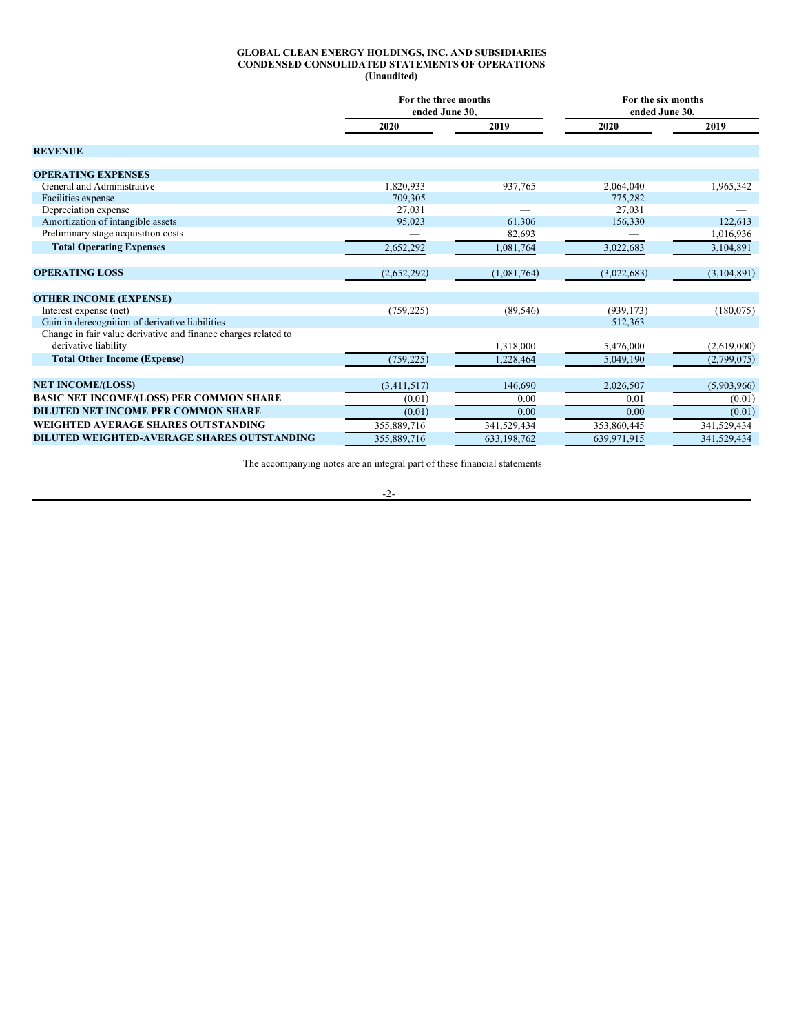#### **GLOBAL CLEAN ENERGY HOLDINGS, INC. AND SUBSIDIARIES CONDENSED CONSOLIDATED STATEMENTS OF OPERATIONS (Unaudited)**

|                                                                | For the three months<br>ended June 30. |             | For the six months<br>ended June 30. |             |  |
|----------------------------------------------------------------|----------------------------------------|-------------|--------------------------------------|-------------|--|
|                                                                | 2020                                   | 2019        | 2020                                 | 2019        |  |
| <b>REVENUE</b>                                                 |                                        |             |                                      |             |  |
| <b>OPERATING EXPENSES</b>                                      |                                        |             |                                      |             |  |
| General and Administrative                                     | 1,820,933                              | 937,765     | 2,064,040                            | 1,965,342   |  |
| Facilities expense                                             | 709,305                                |             | 775,282                              |             |  |
| Depreciation expense                                           | 27,031                                 |             | 27,031                               |             |  |
| Amortization of intangible assets                              | 95,023                                 | 61,306      | 156,330                              | 122,613     |  |
| Preliminary stage acquisition costs                            |                                        | 82,693      |                                      | 1,016,936   |  |
| <b>Total Operating Expenses</b>                                | 2,652,292                              | 1,081,764   | 3,022,683                            | 3,104,891   |  |
| <b>OPERATING LOSS</b>                                          | (2,652,292)                            | (1,081,764) | (3,022,683)                          | (3,104,891) |  |
| <b>OTHER INCOME (EXPENSE)</b>                                  |                                        |             |                                      |             |  |
| Interest expense (net)                                         | (759, 225)                             | (89, 546)   | (939, 173)                           | (180,075)   |  |
| Gain in derecognition of derivative liabilities                |                                        |             | 512.363                              |             |  |
| Change in fair value derivative and finance charges related to |                                        |             |                                      |             |  |
| derivative liability                                           |                                        | 1,318,000   | 5,476,000                            | (2,619,000) |  |
| <b>Total Other Income (Expense)</b>                            | (759, 225)                             | 1,228,464   | 5,049,190                            | (2,799,075) |  |
| <b>NET INCOME/(LOSS)</b>                                       | (3,411,517)                            | 146,690     | 2,026,507                            | (5,903,966) |  |
| <b>BASIC NET INCOME/(LOSS) PER COMMON SHARE</b>                | (0.01)                                 | 0.00        | 0.01                                 | (0.01)      |  |
| <b>DILUTED NET INCOME PER COMMON SHARE</b>                     | (0.01)                                 | 0.00        | 0.00                                 | (0.01)      |  |
| WEIGHTED AVERAGE SHARES OUTSTANDING                            | 355,889,716                            | 341,529,434 | 353,860,445                          | 341,529,434 |  |
| <b>DILUTED WEIGHTED-AVERAGE SHARES OUTSTANDING</b>             | 355,889,716                            | 633.198.762 | 639.971.915                          | 341,529,434 |  |

The accompanying notes are an integral part of these financial statements

-2-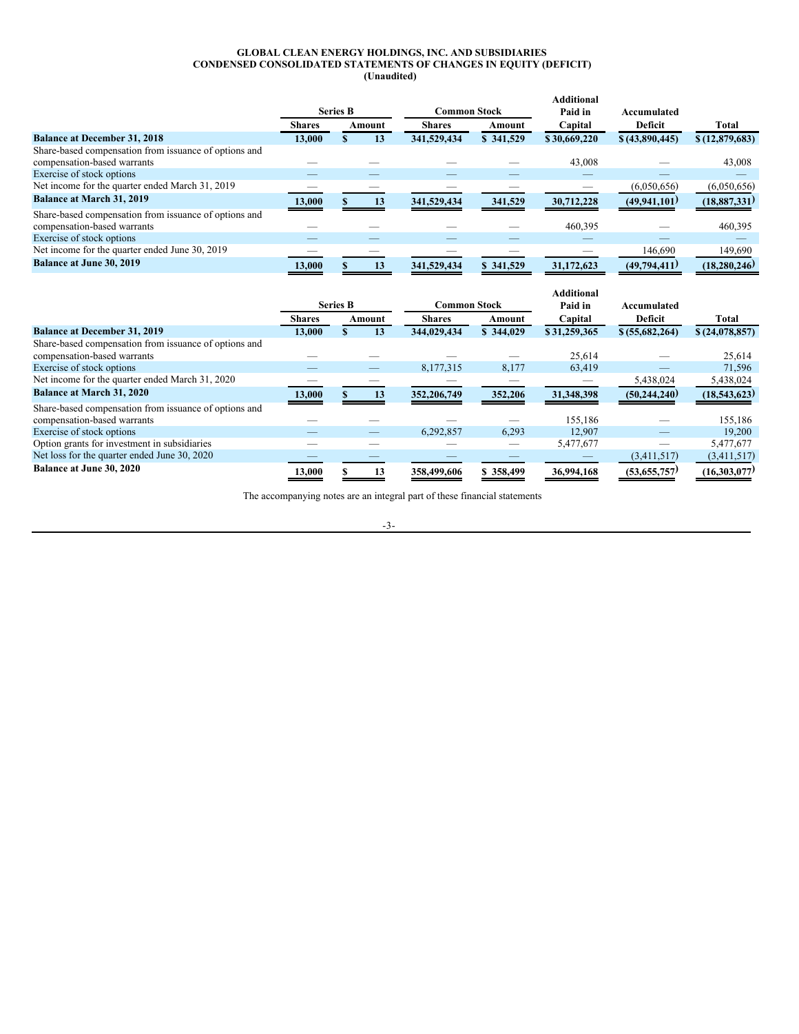#### **GLOBAL CLEAN ENERGY HOLDINGS, INC. AND SUBSIDIARIES CONDENSED CONSOLIDATED STATEMENTS OF CHANGES IN EQUITY (DEFICIT) (Unaudited)**

|                                                                                      |               | <b>Series B</b> |        | <b>Common Stock</b> |           | <b>Additional</b><br>Paid in | Accumulated     |                |
|--------------------------------------------------------------------------------------|---------------|-----------------|--------|---------------------|-----------|------------------------------|-----------------|----------------|
|                                                                                      | <b>Shares</b> |                 | Amount | <b>Shares</b>       | Amount    | Capital                      | <b>Deficit</b>  | Total          |
| <b>Balance at December 31, 2018</b>                                                  | 13.000        |                 | 13     | 341,529,434         | \$341,529 | \$30,669,220                 | \$ (43,890,445) | \$(12,879,683) |
| Share-based compensation from issuance of options and<br>compensation-based warrants |               |                 |        |                     |           | 43,008                       |                 | 43,008         |
| Exercise of stock options                                                            |               |                 |        |                     |           |                              |                 |                |
| Net income for the quarter ended March 31, 2019                                      |               |                 |        |                     |           |                              | (6,050,656)     | (6,050,656)    |
| Balance at March 31, 2019                                                            | 13,000        |                 | 13     | 341,529,434         | 341,529   | 30,712,228                   | (49, 941, 101)  | (18, 887, 331) |
| Share-based compensation from issuance of options and<br>compensation-based warrants |               |                 |        |                     |           | 460,395                      |                 | 460,395        |
| Exercise of stock options                                                            |               |                 |        |                     |           |                              |                 |                |
| Net income for the quarter ended June 30, 2019                                       |               |                 |        |                     |           |                              | 146,690         | 149,690        |
| Balance at June 30, 2019                                                             | 13,000        |                 | 13     | 341,529,434         | \$341,529 | 31,172,623                   | (49,794,411)    | (18, 280, 246) |

|                                                                                      |               | <b>Series B</b> |        | <b>Common Stock</b> |           | <b>Additional</b><br>Paid in | Accumulated     |                |
|--------------------------------------------------------------------------------------|---------------|-----------------|--------|---------------------|-----------|------------------------------|-----------------|----------------|
|                                                                                      | <b>Shares</b> |                 | Amount | <b>Shares</b>       | Amount    | Capital                      | <b>Deficit</b>  | Total          |
| <b>Balance at December 31, 2019</b>                                                  | 13.000        |                 | 13     | 344,029,434         | \$344,029 | \$31,259,365                 | \$ (55,682,264) | \$(24,078,857) |
| Share-based compensation from issuance of options and<br>compensation-based warrants |               |                 |        |                     |           | 25,614                       |                 | 25,614         |
| Exercise of stock options                                                            |               |                 |        | 8,177,315           | 8,177     | 63,419                       |                 | 71,596         |
| Net income for the quarter ended March 31, 2020                                      |               |                 |        |                     |           |                              | 5,438,024       | 5,438,024      |
| <b>Balance at March 31, 2020</b>                                                     | 13,000        |                 | 13     | 352,206,749         | 352,206   | 31,348,398                   | (50, 244, 240)  | (18,543,623)   |
| Share-based compensation from issuance of options and<br>compensation-based warrants |               |                 |        |                     |           | 155,186                      |                 | 155,186        |
| Exercise of stock options                                                            |               |                 |        | 6.292.857           | 6,293     | 12.907                       |                 | 19,200         |
| Option grants for investment in subsidiaries                                         |               |                 |        |                     |           | 5,477,677                    |                 | 5,477,677      |
| Net loss for the quarter ended June 30, 2020                                         |               |                 |        |                     |           |                              | (3,411,517)     | (3,411,517)    |
| Balance at June 30, 2020                                                             | 13,000        |                 | 13     | 358,499,606         | \$358,499 | 36,994,168                   | (53,655,757)    | (16,303,077)   |

The accompanying notes are an integral part of these financial statements

-3-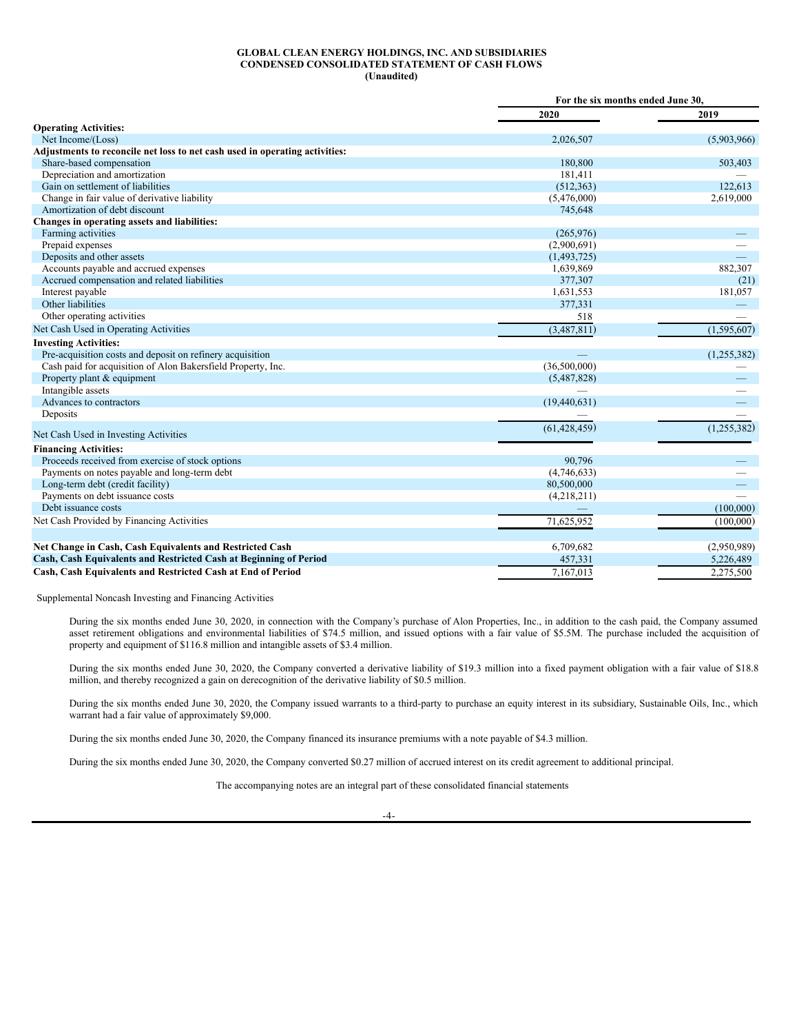### **GLOBAL CLEAN ENERGY HOLDINGS, INC. AND SUBSIDIARIES CONDENSED CONSOLIDATED STATEMENT OF CASH FLOWS (Unaudited)**

|                                                                             | For the six months ended June 30. |               |
|-----------------------------------------------------------------------------|-----------------------------------|---------------|
|                                                                             | 2020                              | 2019          |
| <b>Operating Activities:</b>                                                |                                   |               |
| Net Income/(Loss)                                                           | 2,026,507                         | (5,903,966)   |
| Adjustments to reconcile net loss to net cash used in operating activities: |                                   |               |
| Share-based compensation                                                    | 180,800                           | 503,403       |
| Depreciation and amortization                                               | 181,411                           |               |
| Gain on settlement of liabilities                                           | (512, 363)                        | 122,613       |
| Change in fair value of derivative liability                                | (5,476,000)                       | 2,619,000     |
| Amortization of debt discount                                               | 745,648                           |               |
| Changes in operating assets and liabilities:                                |                                   |               |
| Farming activities                                                          | (265,976)                         |               |
| Prepaid expenses                                                            | (2,900,691)                       |               |
| Deposits and other assets                                                   | (1,493,725)                       |               |
| Accounts payable and accrued expenses                                       | 1,639,869                         | 882,307       |
| Accrued compensation and related liabilities                                | 377,307                           | (21)          |
| Interest payable                                                            | 1,631,553                         | 181,057       |
| Other liabilities                                                           | 377,331                           |               |
| Other operating activities                                                  | 518                               |               |
| Net Cash Used in Operating Activities                                       | (3,487,811)                       | (1, 595, 607) |
| <b>Investing Activities:</b>                                                |                                   |               |
| Pre-acquisition costs and deposit on refinery acquisition                   |                                   | (1,255,382)   |
| Cash paid for acquisition of Alon Bakersfield Property, Inc.                | (36,500,000)                      |               |
| Property plant & equipment                                                  | (5,487,828)                       |               |
| Intangible assets                                                           |                                   |               |
| Advances to contractors                                                     | (19, 440, 631)                    |               |
| Deposits                                                                    |                                   |               |
| Net Cash Used in Investing Activities                                       | (61, 428, 459)                    | (1,255,382)   |
| <b>Financing Activities:</b>                                                |                                   |               |
| Proceeds received from exercise of stock options                            | 90,796                            |               |
| Payments on notes payable and long-term debt                                | (4,746,633)                       |               |
| Long-term debt (credit facility)                                            | 80,500,000                        |               |
| Payments on debt issuance costs                                             | (4,218,211)                       |               |
| Debt issuance costs                                                         |                                   | (100,000)     |
| Net Cash Provided by Financing Activities                                   | 71,625,952                        | (100,000)     |
|                                                                             |                                   |               |
| Net Change in Cash, Cash Equivalents and Restricted Cash                    | 6,709,682                         | (2,950,989)   |
| Cash, Cash Equivalents and Restricted Cash at Beginning of Period           | 457,331                           | 5,226,489     |
| Cash, Cash Equivalents and Restricted Cash at End of Period                 | 7 167 013                         | 2.275.500     |

Supplemental Noncash Investing and Financing Activities

During the six months ended June 30, 2020, in connection with the Company's purchase of Alon Properties, Inc., in addition to the cash paid, the Company assumed asset retirement obligations and environmental liabilities of \$74.5 million, and issued options with a fair value of \$5.5M. The purchase included the acquisition of property and equipment of \$116.8 million and intangible assets of \$3.4 million.

During the six months ended June 30, 2020, the Company converted a derivative liability of \$19.3 million into a fixed payment obligation with a fair value of \$18.8 million, and thereby recognized a gain on derecognition of the derivative liability of \$0.5 million.

During the six months ended June 30, 2020, the Company issued warrants to a third-party to purchase an equity interest in its subsidiary, Sustainable Oils, Inc., which warrant had a fair value of approximately \$9,000.

During the six months ended June 30, 2020, the Company financed its insurance premiums with a note payable of \$4.3 million.

During the six months ended June 30, 2020, the Company converted \$0.27 million of accrued interest on its credit agreement to additional principal.

The accompanying notes are an integral part of these consolidated financial statements

-4-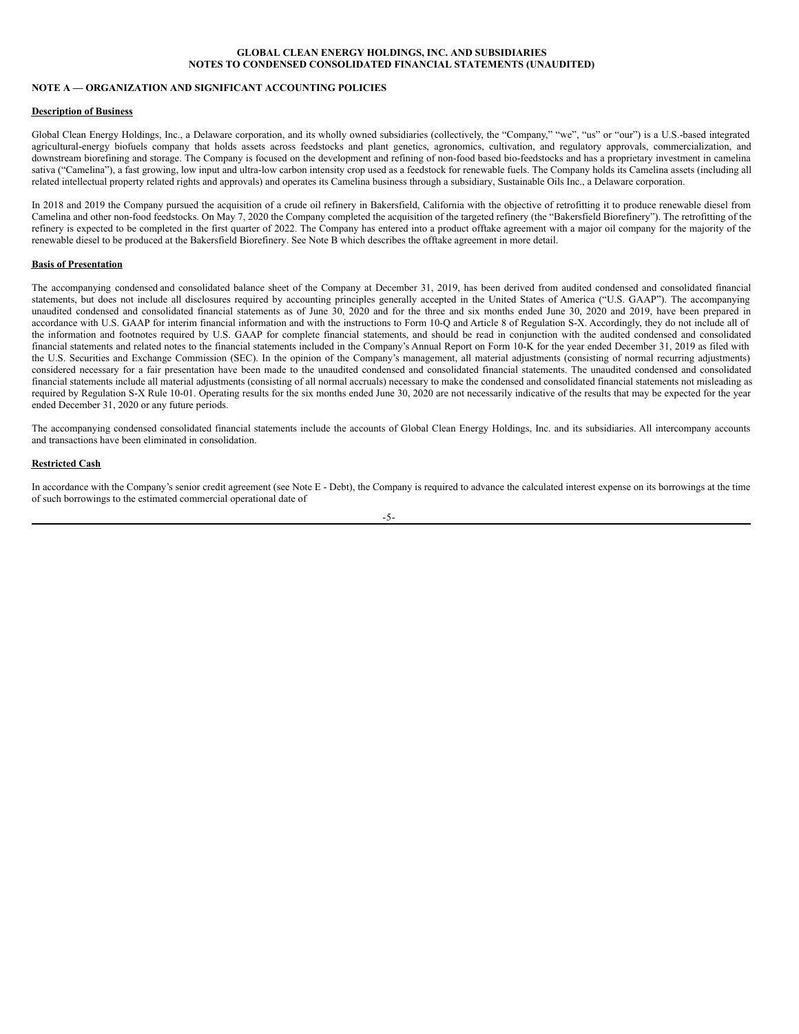# **NOTE A — ORGANIZATION AND SIGNIFICANT ACCOUNTING POLICIES**

### **Description of Business**

Global Clean Energy Holdings, Inc., a Delaware corporation, and its wholly owned subsidiaries (collectively, the "Company," "we", "us" or "our") is a U.S.-based integrated agricultural-energy biofuels company that holds assets across feedstocks and plant genetics, agronomics, cultivation, and regulatory approvals, commercialization, and downstream biorefining and storage. The Company is focused on the development and refining of non-food based bio-feedstocks and has a proprietary investment in camelina sativa ("Camelina"), a fast growing, low input and ultra-low carbon intensity crop used as a feedstock for renewable fuels. The Company holds its Camelina assets (including all related intellectual property related rights and approvals) and operates its Camelina business through a subsidiary, Sustainable Oils Inc., a Delaware corporation.

In 2018 and 2019 the Company pursued the acquisition of a crude oil refinery in Bakersfield, California with the objective of retrofitting it to produce renewable diesel from Camelina and other non-food feedstocks. On May 7, 2020 the Company completed the acquisition of the targeted refinery (the "Bakersfield Biorefinery"). The retrofitting of the refinery is expected to be completed in the first quarter of 2022. The Company has entered into a product offtake agreement with a major oil company for the majority of the renewable diesel to be produced at the Bakersfield Biorefinery. See Note B which describes the offtake agreement in more detail.

### **Basis of Presentation**

The accompanying condensed and consolidated balance sheet of the Company at December 31, 2019, has been derived from audited condensed and consolidated financial statements, but does not include all disclosures required by accounting principles generally accepted in the United States of America ("U.S. GAAP"). The accompanying unaudited condensed and consolidated financial statements as of June 30, 2020 and for the three and six months ended June 30, 2020 and 2019, have been prepared in accordance with U.S. GAAP for interim financial information and with the instructions to Form 10-Q and Article 8 of Regulation S-X. Accordingly, they do not include all of the information and footnotes required by U.S. GAAP for complete financial statements, and should be read in conjunction with the audited condensed and consolidated financial statements and related notes to the financial statements included in the Company's Annual Report on Form 10-K for the year ended December 31, 2019 as filed with the U.S. Securities and Exchange Commission (SEC). In the opinion of the Company's management, all material adjustments (consisting of normal recurring adjustments) considered necessary for a fair presentation have been made to the unaudited condensed and consolidated financial statements. The unaudited condensed and consolidated financial statements include all material adjustments (consisting of all normal accruals) necessary to make the condensed and consolidated financial statements not misleading as required by Regulation S-X Rule 10-01. Operating results for the six months ended June 30, 2020 are not necessarily indicative of the results that may be expected for the year ended December 31, 2020 or any future periods.

The accompanying condensed consolidated financial statements include the accounts of Global Clean Energy Holdings, Inc. and its subsidiaries. All intercompany accounts and transactions have been eliminated in consolidation.

### **Restricted Cash**

In accordance with the Company's senior credit agreement (see Note E - Debt), the Company is required to advance the calculated interest expense on its borrowings at the time of such borrowings to the estimated commercial operational date of

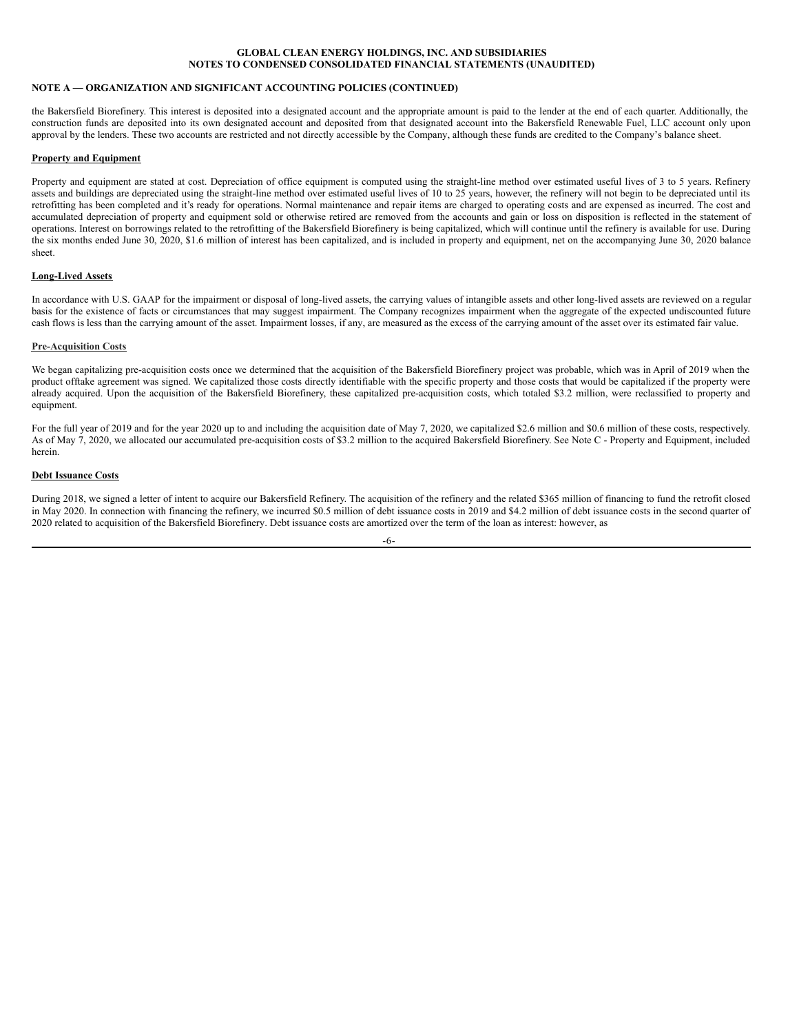# **NOTE A — ORGANIZATION AND SIGNIFICANT ACCOUNTING POLICIES (CONTINUED)**

the Bakersfield Biorefinery. This interest is deposited into a designated account and the appropriate amount is paid to the lender at the end of each quarter. Additionally, the construction funds are deposited into its own designated account and deposited from that designated account into the Bakersfield Renewable Fuel, LLC account only upon approval by the lenders. These two accounts are restricted and not directly accessible by the Company, although these funds are credited to the Company's balance sheet.

### **Property and Equipment**

Property and equipment are stated at cost. Depreciation of office equipment is computed using the straight-line method over estimated useful lives of 3 to 5 years. Refinery assets and buildings are depreciated using the straight-line method over estimated useful lives of 10 to 25 years, however, the refinery will not begin to be depreciated until its retrofitting has been completed and it's ready for operations. Normal maintenance and repair items are charged to operating costs and are expensed as incurred. The cost and accumulated depreciation of property and equipment sold or otherwise retired are removed from the accounts and gain or loss on disposition is reflected in the statement of operations. Interest on borrowings related to the retrofitting of the Bakersfield Biorefinery is being capitalized, which will continue until the refinery is available for use. During the six months ended June 30, 2020, \$1.6 million of interest has been capitalized, and is included in property and equipment, net on the accompanying June 30, 2020 balance sheet.

# **Long-Lived Assets**

In accordance with U.S. GAAP for the impairment or disposal of long-lived assets, the carrying values of intangible assets and other long-lived assets are reviewed on a regular basis for the existence of facts or circumstances that may suggest impairment. The Company recognizes impairment when the aggregate of the expected undiscounted future cash flows is less than the carrying amount of the asset. Impairment losses, if any, are measured as the excess of the carrying amount of the asset over its estimated fair value.

### **Pre-Acquisition Costs**

We began capitalizing pre-acquisition costs once we determined that the acquisition of the Bakersfield Biorefinery project was probable, which was in April of 2019 when the product offtake agreement was signed. We capitalized those costs directly identifiable with the specific property and those costs that would be capitalized if the property were already acquired. Upon the acquisition of the Bakersfield Biorefinery, these capitalized pre-acquisition costs, which totaled \$3.2 million, were reclassified to property and equipment.

For the full year of 2019 and for the year 2020 up to and including the acquisition date of May 7, 2020, we capitalized \$2.6 million and \$0.6 million of these costs, respectively. As of May 7, 2020, we allocated our accumulated pre-acquisition costs of \$3.2 million to the acquired Bakersfield Biorefinery. See Note C - Property and Equipment, included herein.

## **Debt Issuance Costs**

During 2018, we signed a letter of intent to acquire our Bakersfield Refinery. The acquisition of the refinery and the related \$365 million of financing to fund the retrofit closed in May 2020. In connection with financing the refinery, we incurred \$0.5 million of debt issuance costs in 2019 and \$4.2 million of debt issuance costs in the second quarter of 2020 related to acquisition of the Bakersfield Biorefinery. Debt issuance costs are amortized over the term of the loan as interest: however, as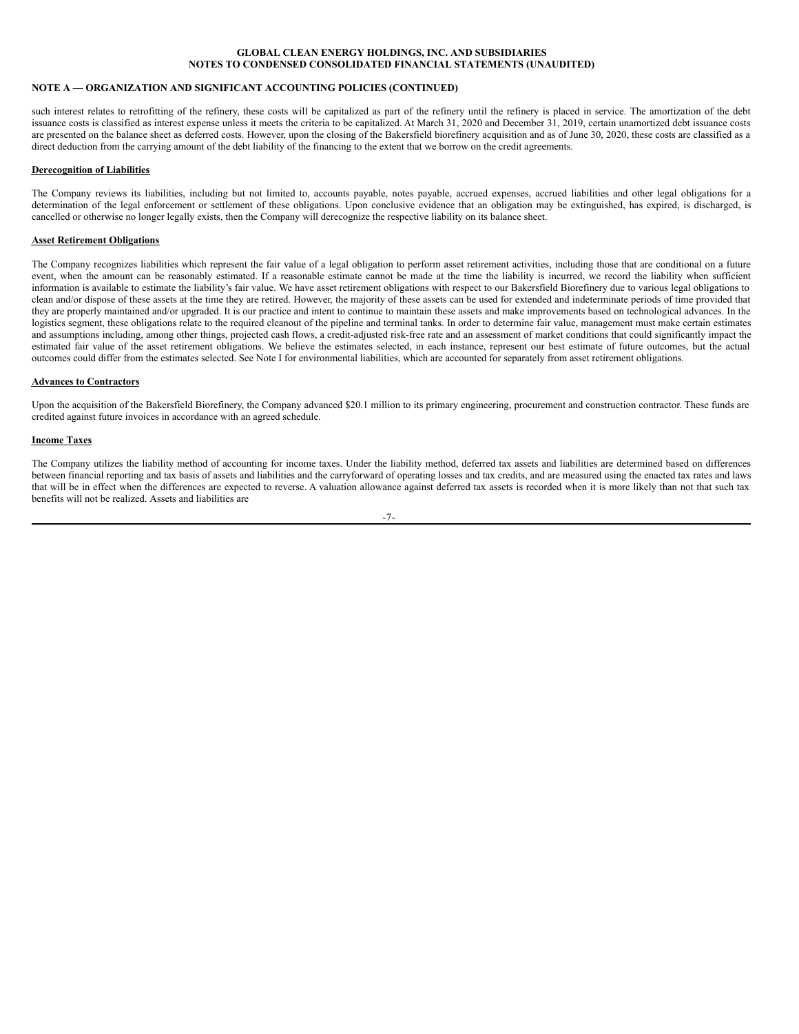### **NOTE A — ORGANIZATION AND SIGNIFICANT ACCOUNTING POLICIES (CONTINUED)**

such interest relates to retrofitting of the refinery, these costs will be capitalized as part of the refinery until the refinery is placed in service. The amortization of the debt issuance costs is classified as interest expense unless it meets the criteria to be capitalized. At March 31, 2020 and December 31, 2019, certain unamortized debt issuance costs are presented on the balance sheet as deferred costs. However, upon the closing of the Bakersfield biorefinery acquisition and as of June 30, 2020, these costs are classified as a direct deduction from the carrying amount of the debt liability of the financing to the extent that we borrow on the credit agreements.

### **Derecognition of Liabilities**

The Company reviews its liabilities, including but not limited to, accounts payable, notes payable, accrued expenses, accrued liabilities and other legal obligations for a determination of the legal enforcement or settlement of these obligations. Upon conclusive evidence that an obligation may be extinguished, has expired, is discharged, is cancelled or otherwise no longer legally exists, then the Company will derecognize the respective liability on its balance sheet.

### **Asset Retirement Obligations**

The Company recognizes liabilities which represent the fair value of a legal obligation to perform asset retirement activities, including those that are conditional on a future event, when the amount can be reasonably estimated. If a reasonable estimate cannot be made at the time the liability is incurred, we record the liability when sufficient information is available to estimate the liability's fair value. We have asset retirement obligations with respect to our Bakersfield Biorefinery due to various legal obligations to clean and/or dispose of these assets at the time they are retired. However, the majority of these assets can be used for extended and indeterminate periods of time provided that they are properly maintained and/or upgraded. It is our practice and intent to continue to maintain these assets and make improvements based on technological advances. In the logistics segment, these obligations relate to the required cleanout of the pipeline and terminal tanks. In order to determine fair value, management must make certain estimates and assumptions including, among other things, projected cash flows, a credit-adjusted risk-free rate and an assessment of market conditions that could significantly impact the estimated fair value of the asset retirement obligations. We believe the estimates selected, in each instance, represent our best estimate of future outcomes, but the actual outcomes could differ from the estimates selected. See Note I for environmental liabilities, which are accounted for separately from asset retirement obligations.

### **Advances to Contractors**

Upon the acquisition of the Bakersfield Biorefinery, the Company advanced \$20.1 million to its primary engineering, procurement and construction contractor. These funds are credited against future invoices in accordance with an agreed schedule.

### **Income Taxes**

The Company utilizes the liability method of accounting for income taxes. Under the liability method, deferred tax assets and liabilities are determined based on differences between financial reporting and tax basis of assets and liabilities and the carryforward of operating losses and tax credits, and are measured using the enacted tax rates and laws that will be in effect when the differences are expected to reverse. A valuation allowance against deferred tax assets is recorded when it is more likely than not that such tax benefits will not be realized. Assets and liabilities are

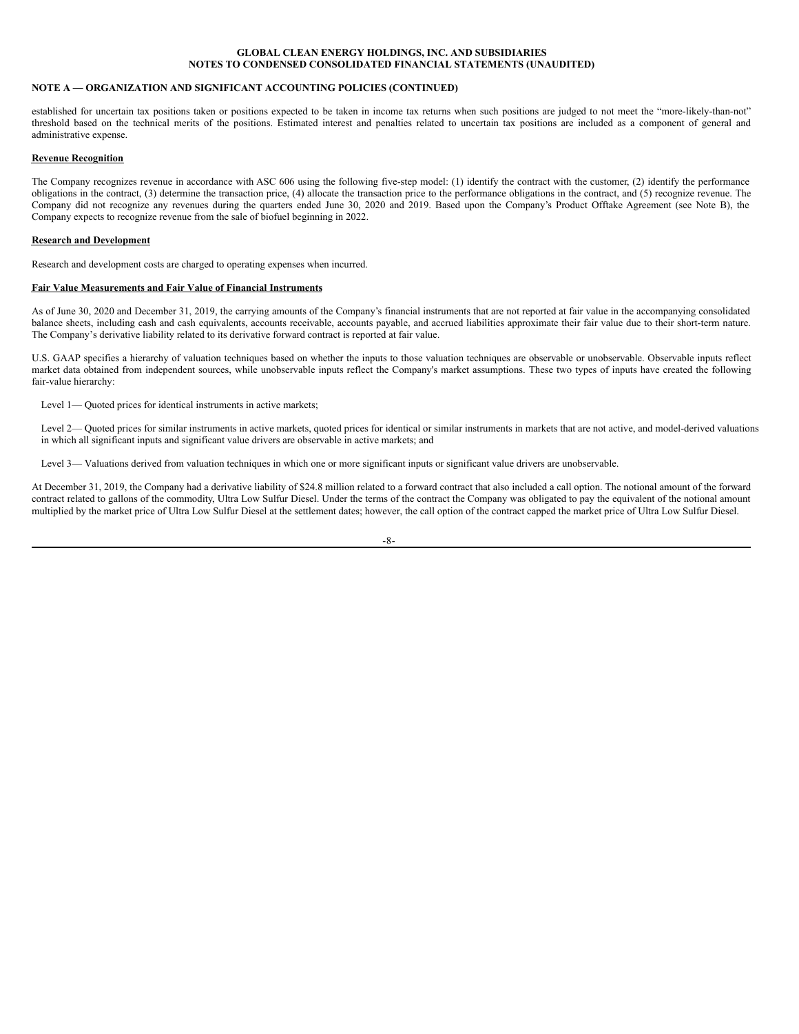### **NOTE A — ORGANIZATION AND SIGNIFICANT ACCOUNTING POLICIES (CONTINUED)**

established for uncertain tax positions taken or positions expected to be taken in income tax returns when such positions are judged to not meet the "more-likely-than-not" threshold based on the technical merits of the positions. Estimated interest and penalties related to uncertain tax positions are included as a component of general and administrative expense.

### **Revenue Recognition**

The Company recognizes revenue in accordance with ASC 606 using the following five-step model: (1) identify the contract with the customer, (2) identify the performance obligations in the contract, (3) determine the transaction price, (4) allocate the transaction price to the performance obligations in the contract, and (5) recognize revenue. The Company did not recognize any revenues during the quarters ended June 30, 2020 and 2019. Based upon the Company's Product Offtake Agreement (see Note B), the Company expects to recognize revenue from the sale of biofuel beginning in 2022.

### **Research and Development**

Research and development costs are charged to operating expenses when incurred.

### **Fair Value Measurements and Fair Value of Financial Instruments**

As of June 30, 2020 and December 31, 2019, the carrying amounts of the Company's financial instruments that are not reported at fair value in the accompanying consolidated balance sheets, including cash and cash equivalents, accounts receivable, accounts payable, and accrued liabilities approximate their fair value due to their short-term nature. The Company's derivative liability related to its derivative forward contract is reported at fair value.

U.S. GAAP specifies a hierarchy of valuation techniques based on whether the inputs to those valuation techniques are observable or unobservable. Observable inputs reflect market data obtained from independent sources, while unobservable inputs reflect the Company's market assumptions. These two types of inputs have created the following fair-value hierarchy:

Level 1— Quoted prices for identical instruments in active markets;

Level 2— Quoted prices for similar instruments in active markets, quoted prices for identical or similar instruments in markets that are not active, and model-derived valuations in which all significant inputs and significant value drivers are observable in active markets; and

Level 3— Valuations derived from valuation techniques in which one or more significant inputs or significant value drivers are unobservable.

At December 31, 2019, the Company had a derivative liability of \$24.8 million related to a forward contract that also included a call option. The notional amount of the forward contract related to gallons of the commodity, Ultra Low Sulfur Diesel. Under the terms of the contract the Company was obligated to pay the equivalent of the notional amount multiplied by the market price of Ultra Low Sulfur Diesel at the settlement dates; however, the call option of the contract capped the market price of Ultra Low Sulfur Diesel.

-8-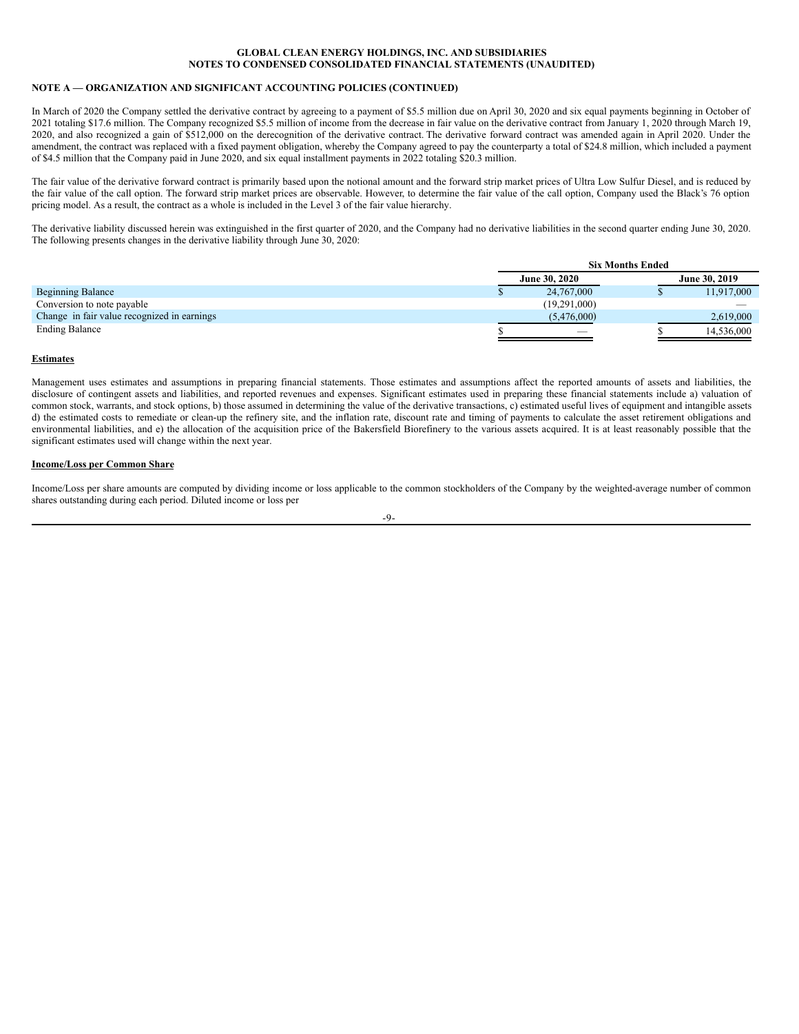# **NOTE A — ORGANIZATION AND SIGNIFICANT ACCOUNTING POLICIES (CONTINUED)**

In March of 2020 the Company settled the derivative contract by agreeing to a payment of \$5.5 million due on April 30, 2020 and six equal payments beginning in October of 2021 totaling \$17.6 million. The Company recognized \$5.5 million of income from the decrease in fair value on the derivative contract from January 1, 2020 through March 19, 2020, and also recognized a gain of \$512,000 on the derecognition of the derivative contract. The derivative forward contract was amended again in April 2020. Under the amendment, the contract was replaced with a fixed payment obligation, whereby the Company agreed to pay the counterparty a total of \$24.8 million, which included a payment of \$4.5 million that the Company paid in June 2020, and six equal installment payments in 2022 totaling \$20.3 million.

The fair value of the derivative forward contract is primarily based upon the notional amount and the forward strip market prices of Ultra Low Sulfur Diesel, and is reduced by the fair value of the call option. The forward strip market prices are observable. However, to determine the fair value of the call option, Company used the Black's 76 option pricing model. As a result, the contract as a whole is included in the Level 3 of the fair value hierarchy.

The derivative liability discussed herein was extinguished in the first quarter of 2020, and the Company had no derivative liabilities in the second quarter ending June 30, 2020. The following presents changes in the derivative liability through June 30, 2020:

|                                             | <b>Six Months Ended</b>  |  |                      |  |
|---------------------------------------------|--------------------------|--|----------------------|--|
|                                             | <b>June 30, 2020</b>     |  | <b>June 30, 2019</b> |  |
| <b>Beginning Balance</b>                    | 24,767,000               |  | 11,917,000           |  |
| Conversion to note payable                  | (19,291,000)             |  |                      |  |
| Change in fair value recognized in earnings | (5,476,000)              |  | 2,619,000            |  |
| <b>Ending Balance</b>                       | $\overline{\phantom{a}}$ |  | 14,536,000           |  |

### **Estimates**

Management uses estimates and assumptions in preparing financial statements. Those estimates and assumptions affect the reported amounts of assets and liabilities, the disclosure of contingent assets and liabilities, and reported revenues and expenses. Significant estimates used in preparing these financial statements include a) valuation of common stock, warrants, and stock options, b) those assumed in determining the value of the derivative transactions, c) estimated useful lives of equipment and intangible assets d) the estimated costs to remediate or clean-up the refinery site, and the inflation rate, discount rate and timing of payments to calculate the asset retirement obligations and environmental liabilities, and e) the allocation of the acquisition price of the Bakersfield Biorefinery to the various assets acquired. It is at least reasonably possible that the significant estimates used will change within the next year.

### **Income/Loss per Common Share**

Income/Loss per share amounts are computed by dividing income or loss applicable to the common stockholders of the Company by the weighted-average number of common shares outstanding during each period. Diluted income or loss per

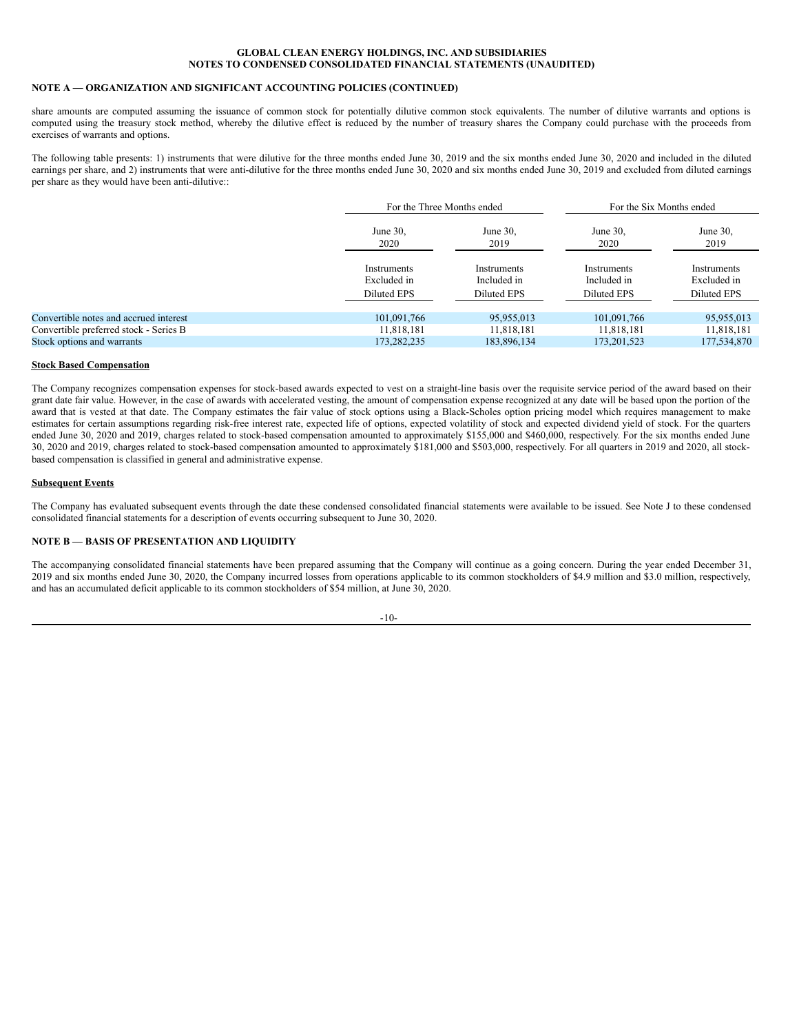# **NOTE A — ORGANIZATION AND SIGNIFICANT ACCOUNTING POLICIES (CONTINUED)**

share amounts are computed assuming the issuance of common stock for potentially dilutive common stock equivalents. The number of dilutive warrants and options is computed using the treasury stock method, whereby the dilutive effect is reduced by the number of treasury shares the Company could purchase with the proceeds from exercises of warrants and options.

The following table presents: 1) instruments that were dilutive for the three months ended June 30, 2019 and the six months ended June 30, 2020 and included in the diluted earnings per share, and 2) instruments that were anti-dilutive for the three months ended June 30, 2020 and six months ended June 30, 2019 and excluded from diluted earnings per share as they would have been anti-dilutive::

|                                        |                                                  | For the Three Months ended                |                                                  | For the Six Months ended                  |
|----------------------------------------|--------------------------------------------------|-------------------------------------------|--------------------------------------------------|-------------------------------------------|
|                                        | June 30,<br>2020                                 | June 30,<br>2019                          | June $30$ ,<br>2020                              | June 30,<br>2019                          |
|                                        | <b>Instruments</b><br>Excluded in<br>Diluted EPS | Instruments<br>Included in<br>Diluted EPS | Instruments<br>Included in<br><b>Diluted EPS</b> | Instruments<br>Excluded in<br>Diluted EPS |
| Convertible notes and accrued interest | 101,091,766                                      | 95,955,013                                | 101,091,766                                      | 95,955,013                                |
| Convertible preferred stock - Series B | 11.818.181                                       | 11,818,181                                | 11,818,181                                       | 11,818,181                                |
| Stock options and warrants             | 173.282.235                                      | 183,896,134                               | 173, 201, 523                                    | 177,534,870                               |

### **Stock Based Compensation**

The Company recognizes compensation expenses for stock-based awards expected to vest on a straight-line basis over the requisite service period of the award based on their grant date fair value. However, in the case of awards with accelerated vesting, the amount of compensation expense recognized at any date will be based upon the portion of the award that is vested at that date. The Company estimates the fair value of stock options using a Black-Scholes option pricing model which requires management to make estimates for certain assumptions regarding risk-free interest rate, expected life of options, expected volatility of stock and expected dividend yield of stock. For the quarters ended June 30, 2020 and 2019, charges related to stock-based compensation amounted to approximately \$155,000 and \$460,000, respectively. For the six months ended June 30, 2020 and 2019, charges related to stock-based compensation amounted to approximately \$181,000 and \$503,000, respectively. For all quarters in 2019 and 2020, all stockbased compensation is classified in general and administrative expense.

### **Subsequent Events**

The Company has evaluated subsequent events through the date these condensed consolidated financial statements were available to be issued. See Note J to these condensed consolidated financial statements for a description of events occurring subsequent to June 30, 2020.

### **NOTE B — BASIS OF PRESENTATION AND LIQUIDITY**

The accompanying consolidated financial statements have been prepared assuming that the Company will continue as a going concern. During the year ended December 31, 2019 and six months ended June 30, 2020, the Company incurred losses from operations applicable to its common stockholders of \$4.9 million and \$3.0 million, respectively, and has an accumulated deficit applicable to its common stockholders of \$54 million, at June 30, 2020.

-10-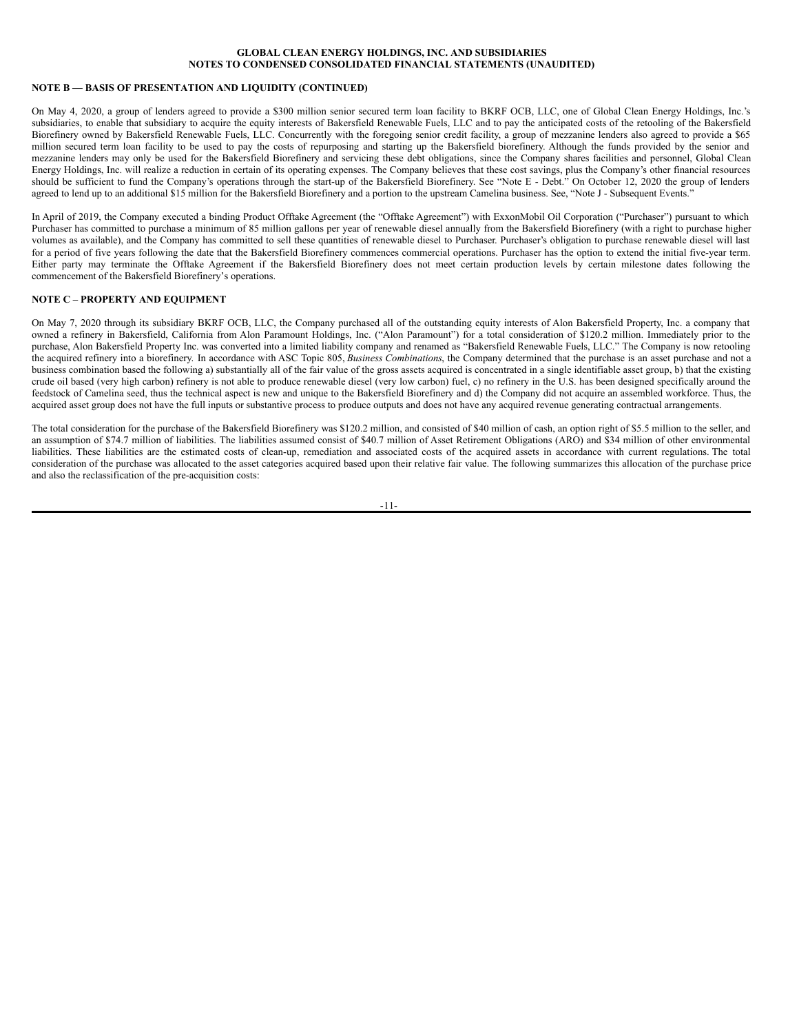# **NOTE B — BASIS OF PRESENTATION AND LIQUIDITY (CONTINUED)**

On May 4, 2020, a group of lenders agreed to provide a \$300 million senior secured term loan facility to BKRF OCB, LLC, one of Global Clean Energy Holdings, Inc.'s subsidiaries, to enable that subsidiary to acquire the equity interests of Bakersfield Renewable Fuels, LLC and to pay the anticipated costs of the retooling of the Bakersfield Biorefinery owned by Bakersfield Renewable Fuels, LLC. Concurrently with the foregoing senior credit facility, a group of mezzanine lenders also agreed to provide a \$65 million secured term loan facility to be used to pay the costs of repurposing and starting up the Bakersfield biorefinery. Although the funds provided by the senior and mezzanine lenders may only be used for the Bakersfield Biorefinery and servicing these debt obligations, since the Company shares facilities and personnel, Global Clean Energy Holdings, Inc. will realize a reduction in certain of its operating expenses. The Company believes that these cost savings, plus the Company's other financial resources should be sufficient to fund the Company's operations through the start-up of the Bakersfield Biorefinery. See "Note E - Debt." On October 12, 2020 the group of lenders agreed to lend up to an additional \$15 million for the Bakersfield Biorefinery and a portion to the upstream Camelina business. See, "Note J - Subsequent Events."

In April of 2019, the Company executed a binding Product Offtake Agreement (the "Offtake Agreement") with ExxonMobil Oil Corporation ("Purchaser") pursuant to which Purchaser has committed to purchase a minimum of 85 million gallons per year of renewable diesel annually from the Bakersfield Biorefinery (with a right to purchase higher volumes as available), and the Company has committed to sell these quantities of renewable diesel to Purchaser. Purchaser's obligation to purchase renewable diesel will last for a period of five years following the date that the Bakersfield Biorefinery commences commercial operations. Purchaser has the option to extend the initial five-year term. Either party may terminate the Offtake Agreement if the Bakersfield Biorefinery does not meet certain production levels by certain milestone dates following the commencement of the Bakersfield Biorefinery's operations.

### **NOTE C – PROPERTY AND EQUIPMENT**

On May 7, 2020 through its subsidiary BKRF OCB, LLC, the Company purchased all of the outstanding equity interests of Alon Bakersfield Property, Inc. a company that owned a refinery in Bakersfield, California from Alon Paramount Holdings, Inc. ("Alon Paramount") for a total consideration of \$120.2 million. Immediately prior to the purchase, Alon Bakersfield Property Inc. was converted into a limited liability company and renamed as "Bakersfield Renewable Fuels, LLC." The Company is now retooling the acquired refinery into a biorefinery. In accordance with ASC Topic 805, *Business Combinations*, the Company determined that the purchase is an asset purchase and not a business combination based the following a) substantially all of the fair value of the gross assets acquired is concentrated in a single identifiable asset group, b) that the existing crude oil based (very high carbon) refinery is not able to produce renewable diesel (very low carbon) fuel, c) no refinery in the U.S. has been designed specifically around the feedstock of Camelina seed, thus the technical aspect is new and unique to the Bakersfield Biorefinery and d) the Company did not acquire an assembled workforce. Thus, the acquired asset group does not have the full inputs or substantive process to produce outputs and does not have any acquired revenue generating contractual arrangements.

The total consideration for the purchase of the Bakersfield Biorefinery was \$120.2 million, and consisted of \$40 million of cash, an option right of \$5.5 million to the seller, and an assumption of \$74.7 million of liabilities. The liabilities assumed consist of \$40.7 million of Asset Retirement Obligations (ARO) and \$34 million of other environmental liabilities. These liabilities are the estimated costs of clean-up, remediation and associated costs of the acquired assets in accordance with current regulations. The total consideration of the purchase was allocated to the asset categories acquired based upon their relative fair value. The following summarizes this allocation of the purchase price and also the reclassification of the pre-acquisition costs:

-11-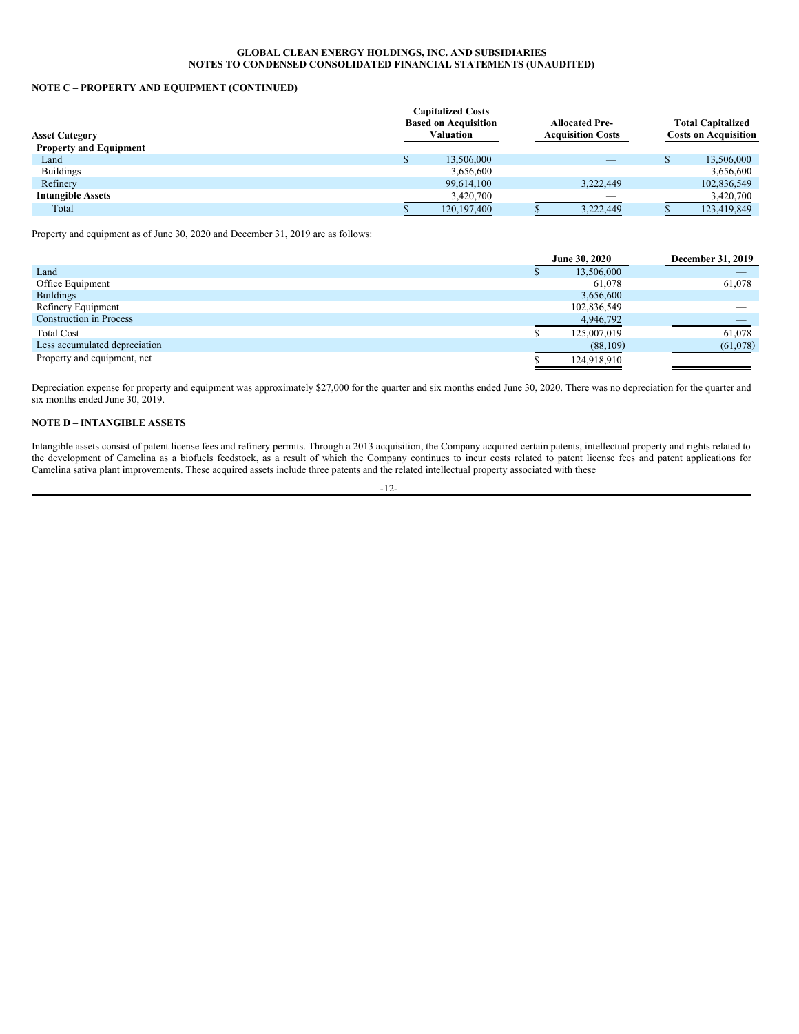# **NOTE C – PROPERTY AND EQUIPMENT (CONTINUED)**

| <b>Valuation</b> |                                                         |                          |                                                   | <b>Total Capitalized</b><br><b>Costs on Acquisition</b> |
|------------------|---------------------------------------------------------|--------------------------|---------------------------------------------------|---------------------------------------------------------|
|                  |                                                         |                          |                                                   |                                                         |
| 13,506,000       |                                                         | $\overline{\phantom{a}}$ |                                                   | 13,506,000                                              |
| 3,656,600        |                                                         | __                       |                                                   | 3,656,600                                               |
| 99,614,100       |                                                         | 3,222,449                |                                                   | 102,836,549                                             |
| 3,420,700        |                                                         | $\overline{\phantom{a}}$ |                                                   | 3,420,700                                               |
| 120, 197, 400    |                                                         | 3,222,449                |                                                   | 123,419,849                                             |
|                  | <b>Capitalized Costs</b><br><b>Based on Acquisition</b> |                          | <b>Allocated Pre-</b><br><b>Acquisition Costs</b> |                                                         |

Property and equipment as of June 30, 2020 and December 31, 2019 are as follows:

|                                | June 30, 2020 | December 31, 2019 |
|--------------------------------|---------------|-------------------|
| Land                           | 13,506,000    |                   |
| Office Equipment               | 61,078        | 61,078            |
| <b>Buildings</b>               | 3,656,600     |                   |
| Refinery Equipment             | 102,836,549   |                   |
| <b>Construction in Process</b> | 4,946,792     |                   |
| <b>Total Cost</b>              | 125,007,019   | 61,078            |
| Less accumulated depreciation  | (88,109)      | (61,078)          |
| Property and equipment, net    | 124,918,910   |                   |

Depreciation expense for property and equipment was approximately \$27,000 for the quarter and six months ended June 30, 2020. There was no depreciation for the quarter and six months ended June 30, 2019.

# **NOTE D – INTANGIBLE ASSETS**

Intangible assets consist of patent license fees and refinery permits. Through a 2013 acquisition, the Company acquired certain patents, intellectual property and rights related to the development of Camelina as a biofuels feedstock, as a result of which the Company continues to incur costs related to patent license fees and patent applications for Camelina sativa plant improvements. These acquired assets include three patents and the related intellectual property associated with these

-12-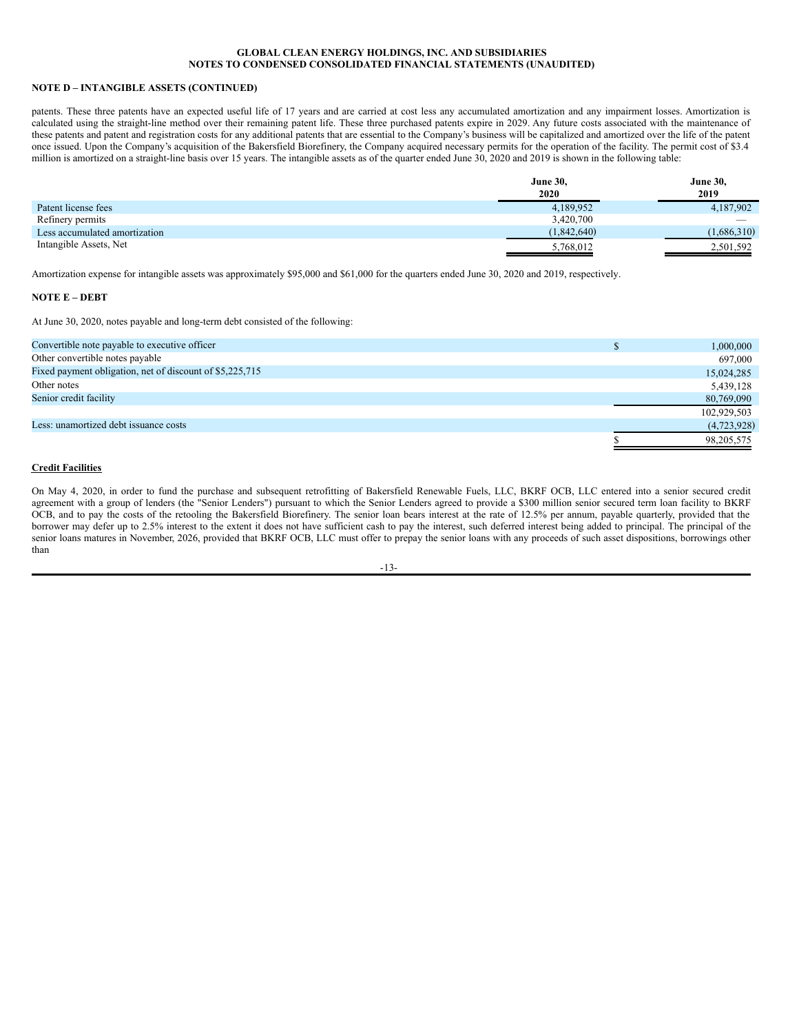# **NOTE D – INTANGIBLE ASSETS (CONTINUED)**

patents. These three patents have an expected useful life of 17 years and are carried at cost less any accumulated amortization and any impairment losses. Amortization is calculated using the straight-line method over their remaining patent life. These three purchased patents expire in 2029. Any future costs associated with the maintenance of these patents and patent and registration costs for any additional patents that are essential to the Company's business will be capitalized and amortized over the life of the patent once issued. Upon the Company's acquisition of the Bakersfield Biorefinery, the Company acquired necessary permits for the operation of the facility. The permit cost of \$3.4 million is amortized on a straight-line basis over 15 years. The intangible assets as of the quarter ended June 30, 2020 and 2019 is shown in the following table:

|                               | <b>June 30,</b> | <b>June 30,</b>          |
|-------------------------------|-----------------|--------------------------|
|                               | 2020            | 2019                     |
| Patent license fees           | 4,189,952       | 4,187,902                |
| Refinery permits              | 3,420,700       | $\overline{\phantom{a}}$ |
| Less accumulated amortization | (1,842,640)     | (1.686.310)              |
| Intangible Assets, Net        | 5,768,012       | 2,501,592                |

Amortization expense for intangible assets was approximately \$95,000 and \$61,000 for the quarters ended June 30, 2020 and 2019, respectively.

### **NOTE E – DEBT**

At June 30, 2020, notes payable and long-term debt consisted of the following:

| Convertible note payable to executive officer            | 1,000,000   |
|----------------------------------------------------------|-------------|
| Other convertible notes payable                          | 697,000     |
| Fixed payment obligation, net of discount of \$5,225,715 | 15,024,285  |
| Other notes                                              | 5,439,128   |
| Senior credit facility                                   | 80,769,090  |
|                                                          | 102,929,503 |
| Less: unamortized debt issuance costs                    | (4,723,928) |
|                                                          | 98,205,575  |
|                                                          |             |

# **Credit Facilities**

On May 4, 2020, in order to fund the purchase and subsequent retrofitting of Bakersfield Renewable Fuels, LLC, BKRF OCB, LLC entered into a senior secured credit agreement with a group of lenders (the "Senior Lenders") pursuant to which the Senior Lenders agreed to provide a \$300 million senior secured term loan facility to BKRF OCB, and to pay the costs of the retooling the Bakersfield Biorefinery. The senior loan bears interest at the rate of 12.5% per annum, payable quarterly, provided that the borrower may defer up to 2.5% interest to the extent it does not have sufficient cash to pay the interest, such deferred interest being added to principal. The principal of the senior loans matures in November, 2026, provided that BKRF OCB, LLC must offer to prepay the senior loans with any proceeds of such asset dispositions, borrowings other than

$$
-13-
$$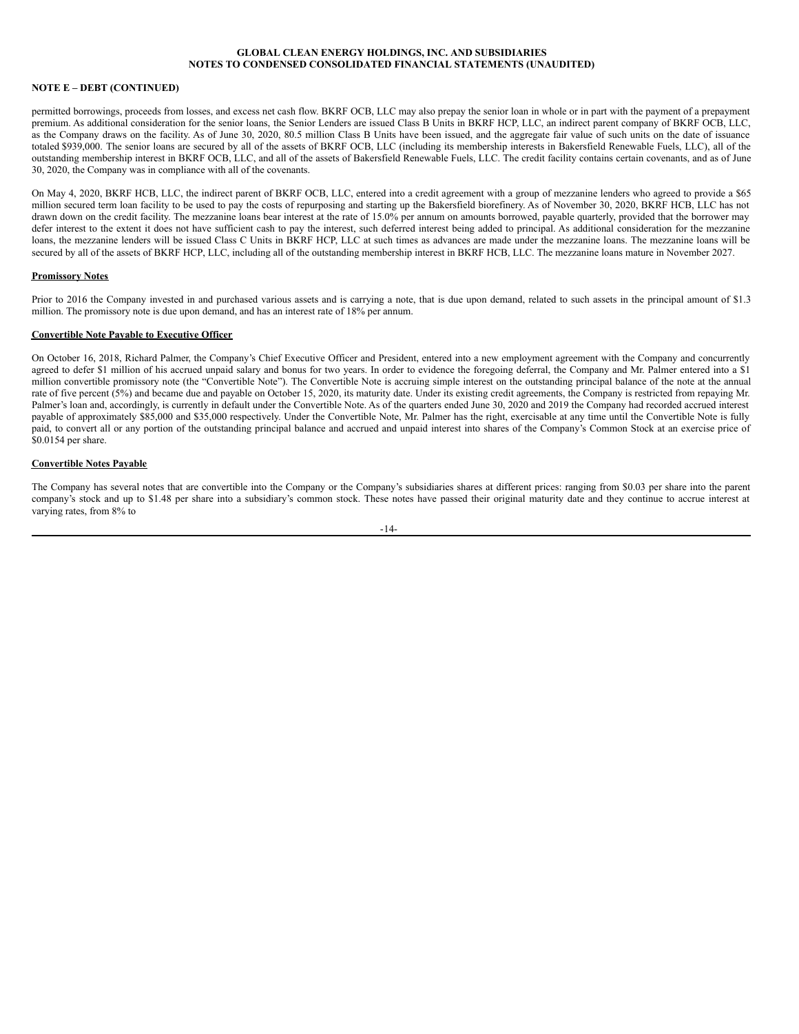# **NOTE E – DEBT (CONTINUED)**

permitted borrowings, proceeds from losses, and excess net cash flow. BKRF OCB, LLC may also prepay the senior loan in whole or in part with the payment of a prepayment premium. As additional consideration for the senior loans, the Senior Lenders are issued Class B Units in BKRF HCP, LLC, an indirect parent company of BKRF OCB, LLC, as the Company draws on the facility. As of June 30, 2020, 80.5 million Class B Units have been issued, and the aggregate fair value of such units on the date of issuance totaled \$939,000. The senior loans are secured by all of the assets of BKRF OCB, LLC (including its membership interests in Bakersfield Renewable Fuels, LLC), all of the outstanding membership interest in BKRF OCB, LLC, and all of the assets of Bakersfield Renewable Fuels, LLC. The credit facility contains certain covenants, and as of June 30, 2020, the Company was in compliance with all of the covenants.

On May 4, 2020, BKRF HCB, LLC, the indirect parent of BKRF OCB, LLC, entered into a credit agreement with a group of mezzanine lenders who agreed to provide a \$65 million secured term loan facility to be used to pay the costs of repurposing and starting up the Bakersfield biorefinery. As of November 30, 2020, BKRF HCB, LLC has not drawn down on the credit facility. The mezzanine loans bear interest at the rate of 15.0% per annum on amounts borrowed, payable quarterly, provided that the borrower may defer interest to the extent it does not have sufficient cash to pay the interest, such deferred interest being added to principal. As additional consideration for the mezzanine loans, the mezzanine lenders will be issued Class C Units in BKRF HCP, LLC at such times as advances are made under the mezzanine loans. The mezzanine loans will be secured by all of the assets of BKRF HCP, LLC, including all of the outstanding membership interest in BKRF HCB, LLC. The mezzanine loans mature in November 2027.

### **Promissory Notes**

Prior to 2016 the Company invested in and purchased various assets and is carrying a note, that is due upon demand, related to such assets in the principal amount of \$1.3 million. The promissory note is due upon demand, and has an interest rate of 18% per annum.

### **Convertible Note Payable to Executive Officer**

On October 16, 2018, Richard Palmer, the Company's Chief Executive Officer and President, entered into a new employment agreement with the Company and concurrently agreed to defer \$1 million of his accrued unpaid salary and bonus for two years. In order to evidence the foregoing deferral, the Company and Mr. Palmer entered into a \$1 million convertible promissory note (the "Convertible Note"). The Convertible Note is accruing simple interest on the outstanding principal balance of the note at the annual rate of five percent (5%) and became due and payable on October 15, 2020, its maturity date. Under its existing credit agreements, the Company is restricted from repaying Mr. Palmer's loan and, accordingly, is currently in default under the Convertible Note. As of the quarters ended June 30, 2020 and 2019 the Company had recorded accrued interest payable of approximately \$85,000 and \$35,000 respectively. Under the Convertible Note, Mr. Palmer has the right, exercisable at any time until the Convertible Note is fully paid, to convert all or any portion of the outstanding principal balance and accrued and unpaid interest into shares of the Company's Common Stock at an exercise price of \$0.0154 per share.

### **Convertible Notes Payable**

The Company has several notes that are convertible into the Company or the Company's subsidiaries shares at different prices: ranging from \$0.03 per share into the parent company's stock and up to \$1.48 per share into a subsidiary's common stock. These notes have passed their original maturity date and they continue to accrue interest at varying rates, from 8% to

-14-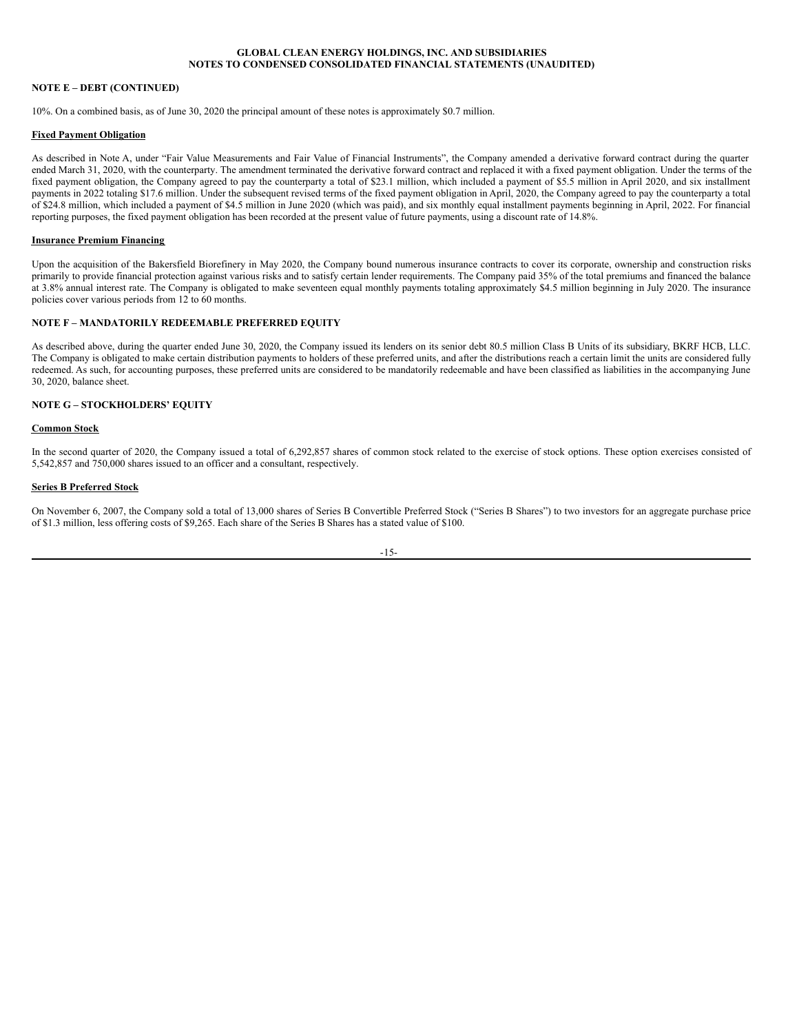# **NOTE E – DEBT (CONTINUED)**

10%. On a combined basis, as of June 30, 2020 the principal amount of these notes is approximately \$0.7 million.

# **Fixed Payment Obligation**

As described in Note A, under "Fair Value Measurements and Fair Value of Financial Instruments", the Company amended a derivative forward contract during the quarter ended March 31, 2020, with the counterparty. The amendment terminated the derivative forward contract and replaced it with a fixed payment obligation. Under the terms of the fixed payment obligation, the Company agreed to pay the counterparty a total of \$23.1 million, which included a payment of \$5.5 million in April 2020, and six installment payments in 2022 totaling \$17.6 million. Under the subsequent revised terms of the fixed payment obligation in April, 2020, the Company agreed to pay the counterparty a total of \$24.8 million, which included a payment of \$4.5 million in June 2020 (which was paid), and six monthly equal installment payments beginning in April, 2022. For financial reporting purposes, the fixed payment obligation has been recorded at the present value of future payments, using a discount rate of 14.8%.

### **Insurance Premium Financing**

Upon the acquisition of the Bakersfield Biorefinery in May 2020, the Company bound numerous insurance contracts to cover its corporate, ownership and construction risks primarily to provide financial protection against various risks and to satisfy certain lender requirements. The Company paid 35% of the total premiums and financed the balance at 3.8% annual interest rate. The Company is obligated to make seventeen equal monthly payments totaling approximately \$4.5 million beginning in July 2020. The insurance policies cover various periods from 12 to 60 months.

# **NOTE F – MANDATORILY REDEEMABLE PREFERRED EQUITY**

As described above, during the quarter ended June 30, 2020, the Company issued its lenders on its senior debt 80.5 million Class B Units of its subsidiary, BKRF HCB, LLC. The Company is obligated to make certain distribution payments to holders of these preferred units, and after the distributions reach a certain limit the units are considered fully redeemed. As such, for accounting purposes, these preferred units are considered to be mandatorily redeemable and have been classified as liabilities in the accompanying June 30, 2020, balance sheet.

# **NOTE G – STOCKHOLDERS' EQUITY**

### **Common Stock**

In the second quarter of 2020, the Company issued a total of 6,292,857 shares of common stock related to the exercise of stock options. These option exercises consisted of 5,542,857 and 750,000 shares issued to an officer and a consultant, respectively.

### **Series B Preferred Stock**

On November 6, 2007, the Company sold a total of 13,000 shares of Series B Convertible Preferred Stock ("Series B Shares") to two investors for an aggregate purchase price of \$1.3 million, less offering costs of \$9,265. Each share of the Series B Shares has a stated value of \$100.

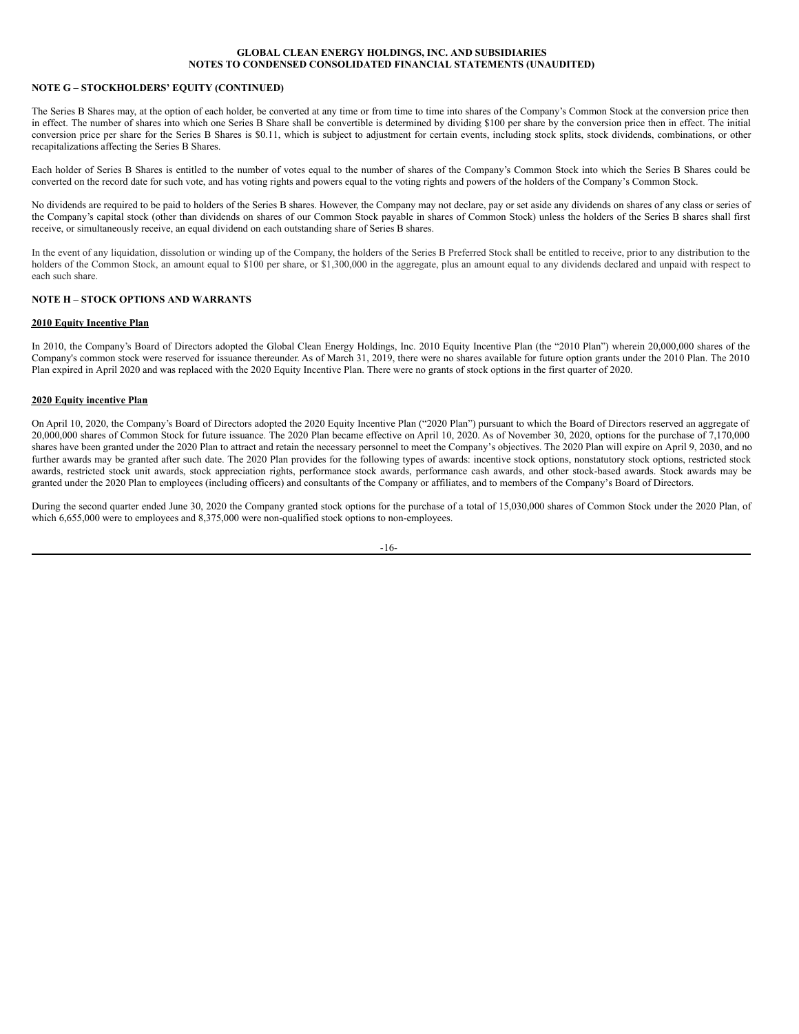# **NOTE G – STOCKHOLDERS' EQUITY (CONTINUED)**

The Series B Shares may, at the option of each holder, be converted at any time or from time to time into shares of the Company's Common Stock at the conversion price then in effect. The number of shares into which one Series B Share shall be convertible is determined by dividing \$100 per share by the conversion price then in effect. The initial conversion price per share for the Series B Shares is \$0.11, which is subject to adjustment for certain events, including stock splits, stock dividends, combinations, or other recapitalizations affecting the Series B Shares.

Each holder of Series B Shares is entitled to the number of votes equal to the number of shares of the Company's Common Stock into which the Series B Shares could be converted on the record date for such vote, and has voting rights and powers equal to the voting rights and powers of the holders of the Company's Common Stock.

No dividends are required to be paid to holders of the Series B shares. However, the Company may not declare, pay or set aside any dividends on shares of any class or series of the Company's capital stock (other than dividends on shares of our Common Stock payable in shares of Common Stock) unless the holders of the Series B shares shall first receive, or simultaneously receive, an equal dividend on each outstanding share of Series B shares.

In the event of any liquidation, dissolution or winding up of the Company, the holders of the Series B Preferred Stock shall be entitled to receive, prior to any distribution to the holders of the Common Stock, an amount equal to \$100 per share, or \$1,300,000 in the aggregate, plus an amount equal to any dividends declared and unpaid with respect to each such share.

# **NOTE H – STOCK OPTIONS AND WARRANTS**

### **2010 Equity Incentive Plan**

In 2010, the Company's Board of Directors adopted the Global Clean Energy Holdings, Inc. 2010 Equity Incentive Plan (the "2010 Plan") wherein 20,000,000 shares of the Company's common stock were reserved for issuance thereunder. As of March 31, 2019, there were no shares available for future option grants under the 2010 Plan. The 2010 Plan expired in April 2020 and was replaced with the 2020 Equity Incentive Plan. There were no grants of stock options in the first quarter of 2020.

### **2020 Equity incentive Plan**

On April 10, 2020, the Company's Board of Directors adopted the 2020 Equity Incentive Plan ("2020 Plan") pursuant to which the Board of Directors reserved an aggregate of 20,000,000 shares of Common Stock for future issuance. The 2020 Plan became effective on April 10, 2020. As of November 30, 2020, options for the purchase of 7,170,000 shares have been granted under the 2020 Plan to attract and retain the necessary personnel to meet the Company's objectives. The 2020 Plan will expire on April 9, 2030, and no further awards may be granted after such date. The 2020 Plan provides for the following types of awards: incentive stock options, nonstatutory stock options, restricted stock awards, restricted stock unit awards, stock appreciation rights, performance stock awards, performance cash awards, and other stock-based awards. Stock awards may be granted under the 2020 Plan to employees (including officers) and consultants of the Company or affiliates, and to members of the Company's Board of Directors.

During the second quarter ended June 30, 2020 the Company granted stock options for the purchase of a total of 15,030,000 shares of Common Stock under the 2020 Plan, of which 6,655,000 were to employees and 8,375,000 were non-qualified stock options to non-employees.

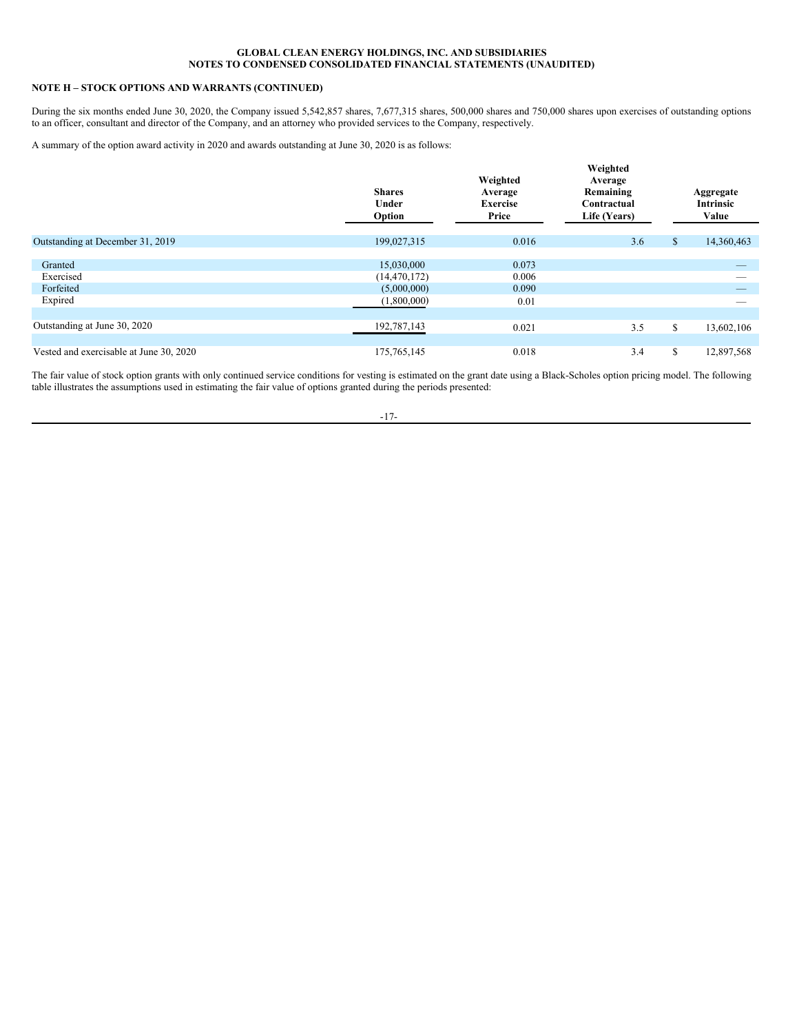# **NOTE H – STOCK OPTIONS AND WARRANTS (CONTINUED)**

During the six months ended June 30, 2020, the Company issued 5,542,857 shares, 7,677,315 shares, 500,000 shares and 750,000 shares upon exercises of outstanding options to an officer, consultant and director of the Company, and an attorney who provided services to the Company, respectively.

A summary of the option award activity in 2020 and awards outstanding at June 30, 2020 is as follows:

|                                         | <b>Shares</b><br>Under<br>Option | Weighted<br>Average<br><b>Exercise</b><br>Price | Weighted<br>Average<br>Remaining<br>Contractual<br>Life (Years) |    | Aggregate<br><b>Intrinsic</b><br>Value |
|-----------------------------------------|----------------------------------|-------------------------------------------------|-----------------------------------------------------------------|----|----------------------------------------|
| Outstanding at December 31, 2019        | 199,027,315                      | 0.016                                           | 3.6                                                             | \$ | 14,360,463                             |
| Granted                                 | 15,030,000                       | 0.073                                           |                                                                 |    |                                        |
| Exercised<br>Forfeited                  | (14, 470, 172)<br>(5,000,000)    | 0.006<br>0.090                                  |                                                                 |    |                                        |
| Expired                                 | (1,800,000)                      | 0.01                                            |                                                                 |    |                                        |
| Outstanding at June 30, 2020            | 192,787,143                      | 0.021                                           | 3.5                                                             | \$ | 13,602,106                             |
|                                         |                                  |                                                 |                                                                 |    |                                        |
| Vested and exercisable at June 30, 2020 | 175, 765, 145                    | 0.018                                           | 3.4                                                             | S  | 12,897,568                             |

The fair value of stock option grants with only continued service conditions for vesting is estimated on the grant date using a Black-Scholes option pricing model. The following table illustrates the assumptions used in estimating the fair value of options granted during the periods presented:

-17-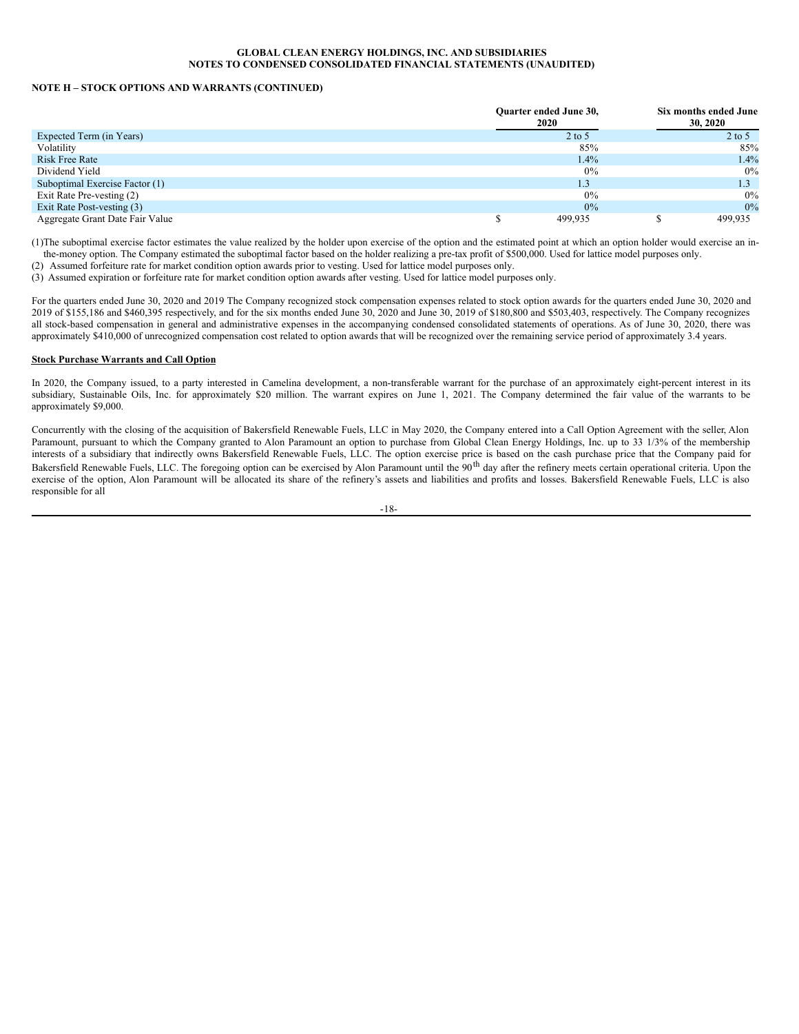### **NOTE H – STOCK OPTIONS AND WARRANTS (CONTINUED)**

|                                 | <b>Ouarter ended June 30,</b><br>2020 | Six months ended June<br>30, 2020 |
|---------------------------------|---------------------------------------|-----------------------------------|
| Expected Term (in Years)        | $2$ to 5                              | $2$ to 5                          |
| Volatility                      | 85%                                   | 85%                               |
| <b>Risk Free Rate</b>           | 1.4%                                  | 1.4%                              |
| Dividend Yield                  | 0%                                    | $0\%$                             |
| Suboptimal Exercise Factor (1)  | 1.3                                   | 1.3                               |
| Exit Rate Pre-vesting (2)       | 0%                                    | $0\%$                             |
| Exit Rate Post-vesting (3)      | 0%                                    | 0%                                |
| Aggregate Grant Date Fair Value | 499.935                               | 499.935                           |

(1)The suboptimal exercise factor estimates the value realized by the holder upon exercise of the option and the estimated point at which an option holder would exercise an inthe-money option. The Company estimated the suboptimal factor based on the holder realizing a pre-tax profit of \$500,000. Used for lattice model purposes only.

(2) Assumed forfeiture rate for market condition option awards prior to vesting. Used for lattice model purposes only.

(3) Assumed expiration or forfeiture rate for market condition option awards after vesting. Used for lattice model purposes only.

For the quarters ended June 30, 2020 and 2019 The Company recognized stock compensation expenses related to stock option awards for the quarters ended June 30, 2020 and 2019 of \$155,186 and \$460,395 respectively, and for the six months ended June 30, 2020 and June 30, 2019 of \$180,800 and \$503,403, respectively. The Company recognizes all stock-based compensation in general and administrative expenses in the accompanying condensed consolidated statements of operations. As of June 30, 2020, there was approximately \$410,000 of unrecognized compensation cost related to option awards that will be recognized over the remaining service period of approximately 3.4 years.

### **Stock Purchase Warrants and Call Option**

In 2020, the Company issued, to a party interested in Camelina development, a non-transferable warrant for the purchase of an approximately eight-percent interest in its subsidiary, Sustainable Oils, Inc. for approximately \$20 million. The warrant expires on June 1, 2021. The Company determined the fair value of the warrants to be approximately \$9,000.

Concurrently with the closing of the acquisition of Bakersfield Renewable Fuels, LLC in May 2020, the Company entered into a Call Option Agreement with the seller, Alon Paramount, pursuant to which the Company granted to Alon Paramount an option to purchase from Global Clean Energy Holdings, Inc. up to 33 1/3% of the membership interests of a subsidiary that indirectly owns Bakersfield Renewable Fuels, LLC. The option exercise price is based on the cash purchase price that the Company paid for Bakersfield Renewable Fuels, LLC. The foregoing option can be exercised by Alon Paramount until the 90<sup>th</sup> day after the refinery meets certain operational criteria. Upon the exercise of the option, Alon Paramount will be allocated its share of the refinery's assets and liabilities and profits and losses. Bakersfield Renewable Fuels, LLC is also responsible for all

-18-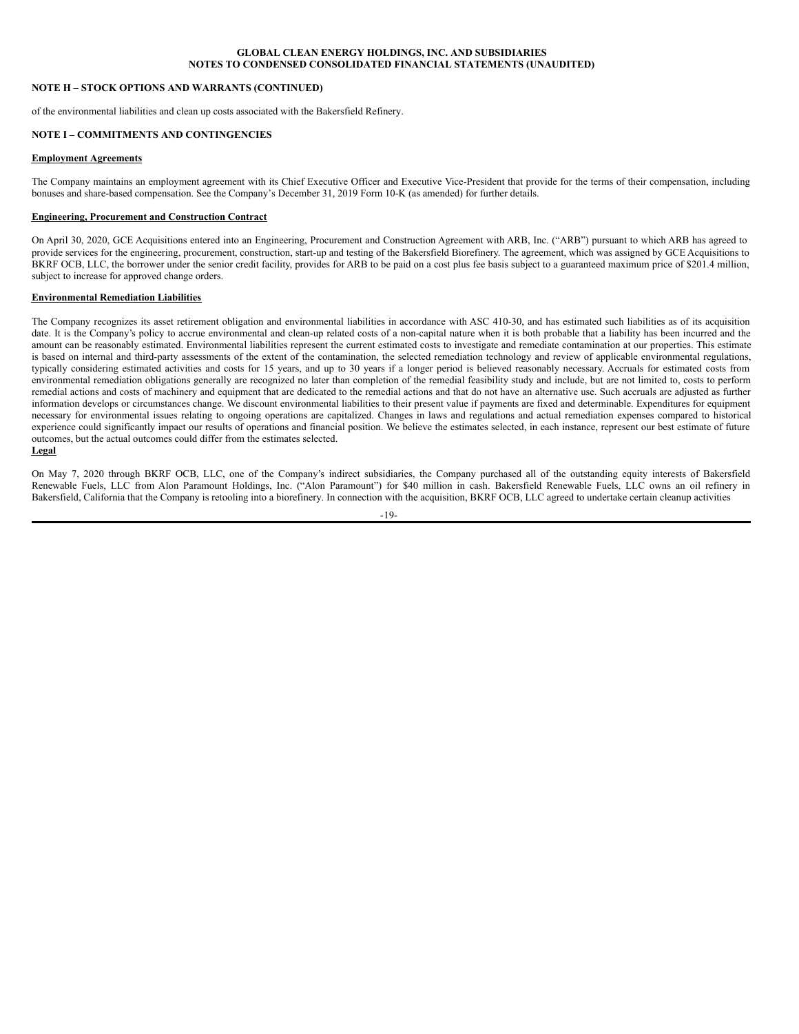# **NOTE H – STOCK OPTIONS AND WARRANTS (CONTINUED)**

of the environmental liabilities and clean up costs associated with the Bakersfield Refinery.

# **NOTE I – COMMITMENTS AND CONTINGENCIES**

### **Employment Agreements**

The Company maintains an employment agreement with its Chief Executive Officer and Executive Vice-President that provide for the terms of their compensation, including bonuses and share-based compensation. See the Company's December 31, 2019 Form 10-K (as amended) for further details.

# **Engineering, Procurement and Construction Contract**

On April 30, 2020, GCE Acquisitions entered into an Engineering, Procurement and Construction Agreement with ARB, Inc. ("ARB") pursuant to which ARB has agreed to provide services for the engineering, procurement, construction, start-up and testing of the Bakersfield Biorefinery. The agreement, which was assigned by GCE Acquisitions to BKRF OCB, LLC, the borrower under the senior credit facility, provides for ARB to be paid on a cost plus fee basis subject to a guaranteed maximum price of \$201.4 million, subject to increase for approved change orders.

### **Environmental Remediation Liabilities**

The Company recognizes its asset retirement obligation and environmental liabilities in accordance with ASC 410-30, and has estimated such liabilities as of its acquisition date. It is the Company's policy to accrue environmental and clean-up related costs of a non-capital nature when it is both probable that a liability has been incurred and the amount can be reasonably estimated. Environmental liabilities represent the current estimated costs to investigate and remediate contamination at our properties. This estimate is based on internal and third-party assessments of the extent of the contamination, the selected remediation technology and review of applicable environmental regulations, typically considering estimated activities and costs for 15 years, and up to 30 years if a longer period is believed reasonably necessary. Accruals for estimated costs from environmental remediation obligations generally are recognized no later than completion of the remedial feasibility study and include, but are not limited to, costs to perform remedial actions and costs of machinery and equipment that are dedicated to the remedial actions and that do not have an alternative use. Such accruals are adjusted as further information develops or circumstances change. We discount environmental liabilities to their present value if payments are fixed and determinable. Expenditures for equipment necessary for environmental issues relating to ongoing operations are capitalized. Changes in laws and regulations and actual remediation expenses compared to historical experience could significantly impact our results of operations and financial position. We believe the estimates selected, in each instance, represent our best estimate of future outcomes, but the actual outcomes could differ from the estimates selected. **Legal**

On May 7, 2020 through BKRF OCB, LLC, one of the Company's indirect subsidiaries, the Company purchased all of the outstanding equity interests of Bakersfield Renewable Fuels, LLC from Alon Paramount Holdings, Inc. ("Alon Paramount") for \$40 million in cash. Bakersfield Renewable Fuels, LLC owns an oil refinery in Bakersfield, California that the Company is retooling into a biorefinery. In connection with the acquisition, BKRF OCB, LLC agreed to undertake certain cleanup activities

 $-19-$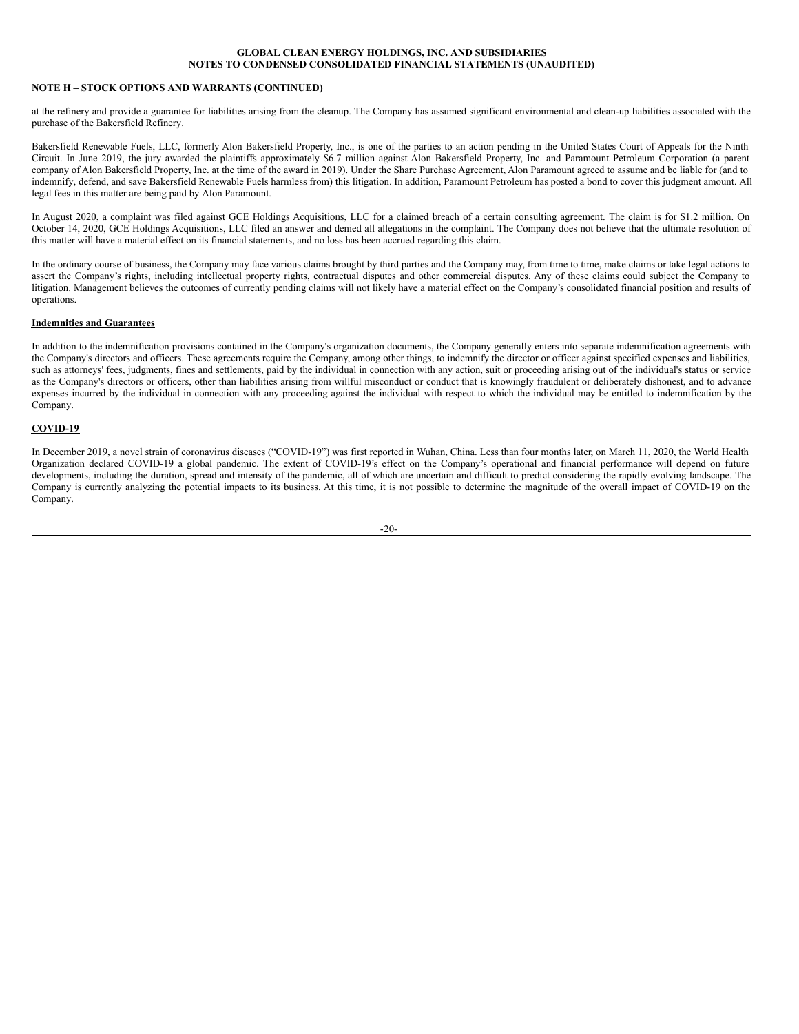# **NOTE H – STOCK OPTIONS AND WARRANTS (CONTINUED)**

at the refinery and provide a guarantee for liabilities arising from the cleanup. The Company has assumed significant environmental and clean-up liabilities associated with the purchase of the Bakersfield Refinery.

Bakersfield Renewable Fuels, LLC, formerly Alon Bakersfield Property, Inc., is one of the parties to an action pending in the United States Court of Appeals for the Ninth Circuit. In June 2019, the jury awarded the plaintiffs approximately \$6.7 million against Alon Bakersfield Property, Inc. and Paramount Petroleum Corporation (a parent company of Alon Bakersfield Property, Inc. at the time of the award in 2019). Under the Share Purchase Agreement, Alon Paramount agreed to assume and be liable for (and to indemnify, defend, and save Bakersfield Renewable Fuels harmless from) this litigation. In addition, Paramount Petroleum has posted a bond to cover this judgment amount. All legal fees in this matter are being paid by Alon Paramount.

In August 2020, a complaint was filed against GCE Holdings Acquisitions, LLC for a claimed breach of a certain consulting agreement. The claim is for \$1.2 million. On October 14, 2020, GCE Holdings Acquisitions, LLC filed an answer and denied all allegations in the complaint. The Company does not believe that the ultimate resolution of this matter will have a material effect on its financial statements, and no loss has been accrued regarding this claim.

In the ordinary course of business, the Company may face various claims brought by third parties and the Company may, from time to time, make claims or take legal actions to assert the Company's rights, including intellectual property rights, contractual disputes and other commercial disputes. Any of these claims could subject the Company to litigation. Management believes the outcomes of currently pending claims will not likely have a material effect on the Company's consolidated financial position and results of operations.

### **Indemnities and Guarantees**

In addition to the indemnification provisions contained in the Company's organization documents, the Company generally enters into separate indemnification agreements with the Company's directors and officers. These agreements require the Company, among other things, to indemnify the director or officer against specified expenses and liabilities, such as attorneys' fees, judgments, fines and settlements, paid by the individual in connection with any action, suit or proceeding arising out of the individual's status or service as the Company's directors or officers, other than liabilities arising from willful misconduct or conduct that is knowingly fraudulent or deliberately dishonest, and to advance expenses incurred by the individual in connection with any proceeding against the individual with respect to which the individual may be entitled to indemnification by the Company.

# **COVID-19**

In December 2019, a novel strain of coronavirus diseases ("COVID-19") was first reported in Wuhan, China. Less than four months later, on March 11, 2020, the World Health Organization declared COVID-19 a global pandemic. The extent of COVID-19's effect on the Company's operational and financial performance will depend on future developments, including the duration, spread and intensity of the pandemic, all of which are uncertain and difficult to predict considering the rapidly evolving landscape. The Company is currently analyzing the potential impacts to its business. At this time, it is not possible to determine the magnitude of the overall impact of COVID-19 on the Company.

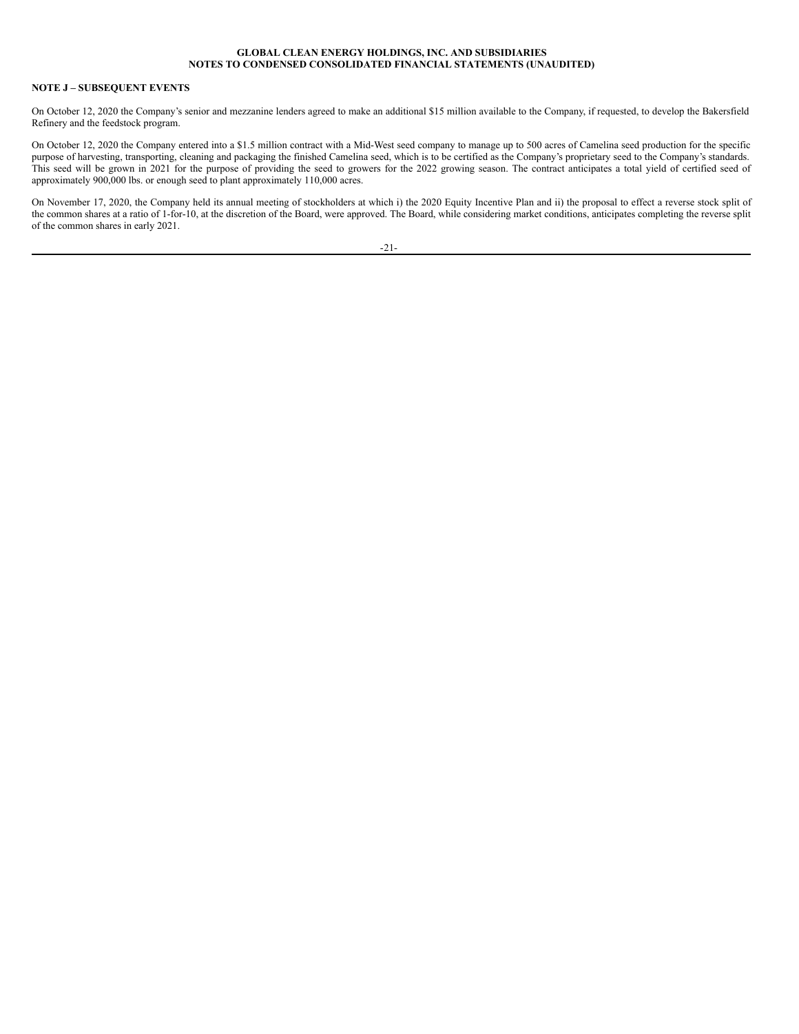# **NOTE J – SUBSEQUENT EVENTS**

On October 12, 2020 the Company's senior and mezzanine lenders agreed to make an additional \$15 million available to the Company, if requested, to develop the Bakersfield Refinery and the feedstock program.

On October 12, 2020 the Company entered into a \$1.5 million contract with a Mid-West seed company to manage up to 500 acres of Camelina seed production for the specific purpose of harvesting, transporting, cleaning and packaging the finished Camelina seed, which is to be certified as the Company's proprietary seed to the Company's standards. This seed will be grown in 2021 for the purpose of providing the seed to growers for the 2022 growing season. The contract anticipates a total yield of certified seed of approximately 900,000 lbs. or enough seed to plant approximately 110,000 acres.

On November 17, 2020, the Company held its annual meeting of stockholders at which i) the 2020 Equity Incentive Plan and ii) the proposal to effect a reverse stock split of the common shares at a ratio of 1-for-10, at the discretion of the Board, were approved. The Board, while considering market conditions, anticipates completing the reverse split of the common shares in early 2021.

-21-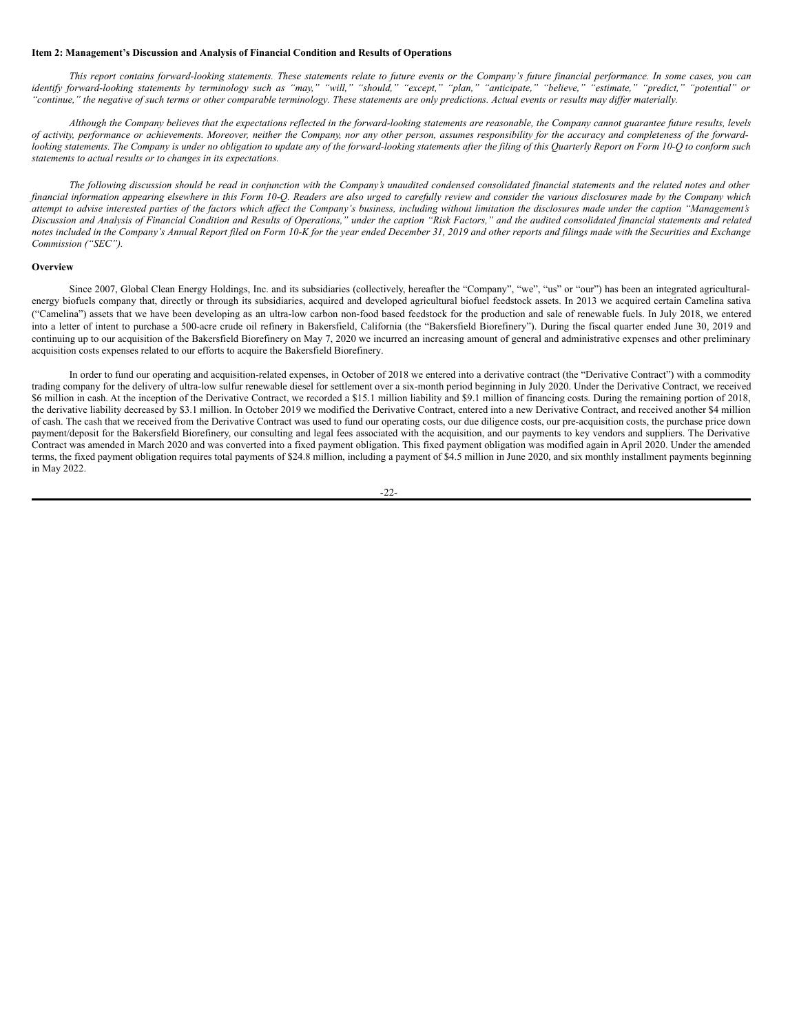### **Item 2: Management's Discussion and Analysis of Financial Condition and Results of Operations**

This report contains forward-looking statements. These statements relate to future events or the Company's future financial performance. In some cases, you can identify forward-looking statements by terminology such as "may," "will," "should," "except," "plan," "anticipate," "believe," "estimate," "predict," "potential" or "continue," the negative of such terms or other comparable terminology. These statements are only predictions. Actual events or results may differ materially.

Although the Company believes that the expectations reflected in the forward-looking statements are reasonable, the Company cannot guarantee future results, levels of activity, performance or achievements. Moreover, neither the Company, nor any other person, assumes responsibility for the accuracy and completeness of the forwardlooking statements. The Company is under no obligation to update any of the forward-looking statements after the filing of this Quarterly Report on Form 10-Q to conform such *statements to actual results or to changes in its expectations.*

The following discussion should be read in conjunction with the Company's unaudited condensed consolidated financial statements and the related notes and other financial information appearing elsewhere in this Form 10-O. Readers are also urged to carefully review and consider the various disclosures made by the Company which attempt to advise interested parties of the factors which affect the Company's business, including without limitation the disclosures made under the caption "Management's Discussion and Analysis of Financial Condition and Results of Operations," under the caption "Risk Factors," and the audited consolidated financial statements and related notes included in the Company's Annual Report filed on Form 10-K for the year ended December 31, 2019 and other reports and filings made with the Securities and Exchange *Commission ("SEC").*

### **Overview**

Since 2007, Global Clean Energy Holdings, Inc. and its subsidiaries (collectively, hereafter the "Company", "we", "us" or "our") has been an integrated agriculturalenergy biofuels company that, directly or through its subsidiaries, acquired and developed agricultural biofuel feedstock assets. In 2013 we acquired certain Camelina sativa ("Camelina") assets that we have been developing as an ultra-low carbon non-food based feedstock for the production and sale of renewable fuels. In July 2018, we entered into a letter of intent to purchase a 500-acre crude oil refinery in Bakersfield, California (the "Bakersfield Biorefinery"). During the fiscal quarter ended June 30, 2019 and continuing up to our acquisition of the Bakersfield Biorefinery on May 7, 2020 we incurred an increasing amount of general and administrative expenses and other preliminary acquisition costs expenses related to our efforts to acquire the Bakersfield Biorefinery.

In order to fund our operating and acquisition-related expenses, in October of 2018 we entered into a derivative contract (the "Derivative Contract") with a commodity trading company for the delivery of ultra-low sulfur renewable diesel for settlement over a six-month period beginning in July 2020. Under the Derivative Contract, we received \$6 million in cash. At the inception of the Derivative Contract, we recorded a \$15.1 million liability and \$9.1 million of financing costs. During the remaining portion of 2018, the derivative liability decreased by \$3.1 million. In October 2019 we modified the Derivative Contract, entered into a new Derivative Contract, and received another \$4 million of cash. The cash that we received from the Derivative Contract was used to fund our operating costs, our due diligence costs, our pre-acquisition costs, the purchase price down payment/deposit for the Bakersfield Biorefinery, our consulting and legal fees associated with the acquisition, and our payments to key vendors and suppliers. The Derivative Contract was amended in March 2020 and was converted into a fixed payment obligation. This fixed payment obligation was modified again in April 2020. Under the amended terms, the fixed payment obligation requires total payments of \$24.8 million, including a payment of \$4.5 million in June 2020, and six monthly installment payments beginning in May 2022.

$$
-22-
$$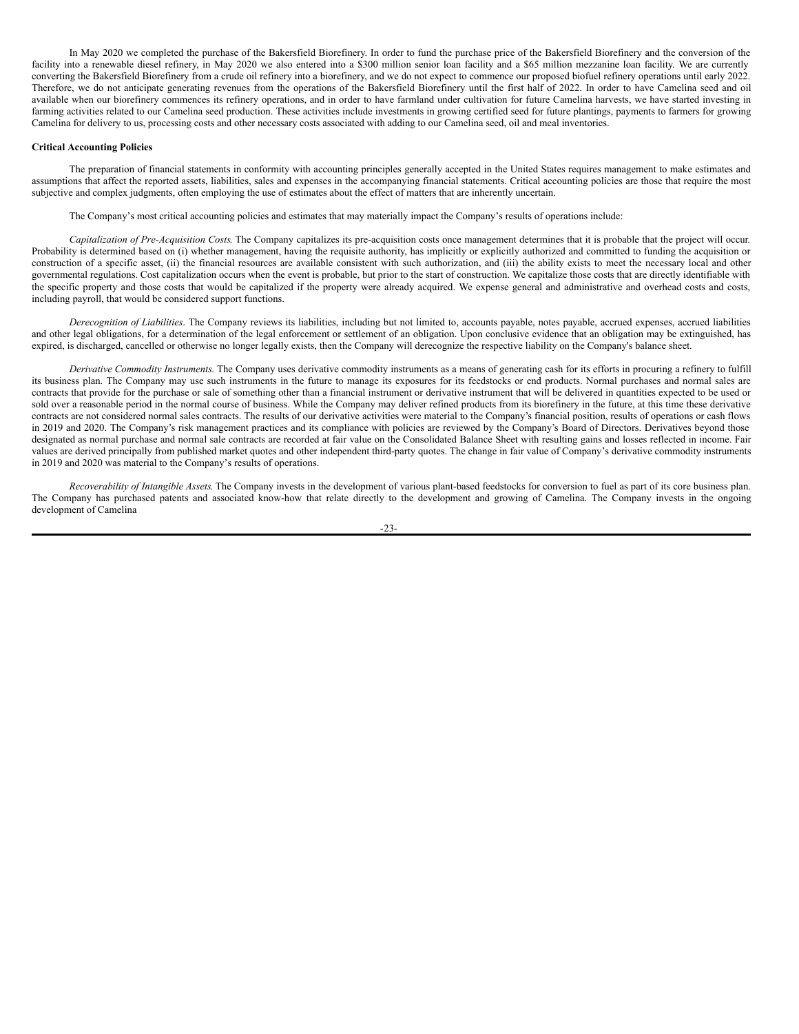In May 2020 we completed the purchase of the Bakersfield Biorefinery. In order to fund the purchase price of the Bakersfield Biorefinery and the conversion of the facility into a renewable diesel refinery, in May 2020 we also entered into a \$300 million senior loan facility and a \$65 million mezzanine loan facility. We are currently converting the Bakersfield Biorefinery from a crude oil refinery into a biorefinery, and we do not expect to commence our proposed biofuel refinery operations until early 2022. Therefore, we do not anticipate generating revenues from the operations of the Bakersfield Biorefinery until the first half of 2022. In order to have Camelina seed and oil available when our biorefinery commences its refinery operations, and in order to have farmland under cultivation for future Camelina harvests, we have started investing in farming activities related to our Camelina seed production. These activities include investments in growing certified seed for future plantings, payments to farmers for growing Camelina for delivery to us, processing costs and other necessary costs associated with adding to our Camelina seed, oil and meal inventories.

#### **Critical Accounting Policies**

The preparation of financial statements in conformity with accounting principles generally accepted in the United States requires management to make estimates and assumptions that affect the reported assets, liabilities, sales and expenses in the accompanying financial statements. Critical accounting policies are those that require the most subjective and complex judgments, often employing the use of estimates about the effect of matters that are inherently uncertain.

The Company's most critical accounting policies and estimates that may materially impact the Company's results of operations include:

*Capitalization of Pre-Acquisition Costs*. The Company capitalizes its pre-acquisition costs once management determines that it is probable that the project will occur. Probability is determined based on (i) whether management, having the requisite authority, has implicitly or explicitly authorized and committed to funding the acquisition or construction of a specific asset, (ii) the financial resources are available consistent with such authorization, and (iii) the ability exists to meet the necessary local and other governmental regulations. Cost capitalization occurs when the event is probable, but prior to the start of construction. We capitalize those costs that are directly identifiable with the specific property and those costs that would be capitalized if the property were already acquired. We expense general and administrative and overhead costs and costs, including payroll, that would be considered support functions.

*Derecognition of Liabilities*. The Company reviews its liabilities, including but not limited to, accounts payable, notes payable, accrued expenses, accrued liabilities and other legal obligations, for a determination of the legal enforcement or settlement of an obligation. Upon conclusive evidence that an obligation may be extinguished, has expired, is discharged, cancelled or otherwise no longer legally exists, then the Company will derecognize the respective liability on the Company's balance sheet.

*Derivative Commodity Instruments*. The Company uses derivative commodity instruments as a means of generating cash for its efforts in procuring a refinery to fulfill its business plan. The Company may use such instruments in the future to manage its exposures for its feedstocks or end products. Normal purchases and normal sales are contracts that provide for the purchase or sale of something other than a financial instrument or derivative instrument that will be delivered in quantities expected to be used or sold over a reasonable period in the normal course of business. While the Company may deliver refined products from its biorefinery in the future, at this time these derivative contracts are not considered normal sales contracts. The results of our derivative activities were material to the Company's financial position, results of operations or cash flows in 2019 and 2020. The Company's risk management practices and its compliance with policies are reviewed by the Company's Board of Directors. Derivatives beyond those designated as normal purchase and normal sale contracts are recorded at fair value on the Consolidated Balance Sheet with resulting gains and losses reflected in income. Fair values are derived principally from published market quotes and other independent third-party quotes. The change in fair value of Company's derivative commodity instruments in 2019 and 2020 was material to the Company's results of operations.

*Recoverability of Intangible Assets*. The Company invests in the development of various plant-based feedstocks for conversion to fuel as part of its core business plan. The Company has purchased patents and associated know-how that relate directly to the development and growing of Camelina. The Company invests in the ongoing development of Camelina

-23-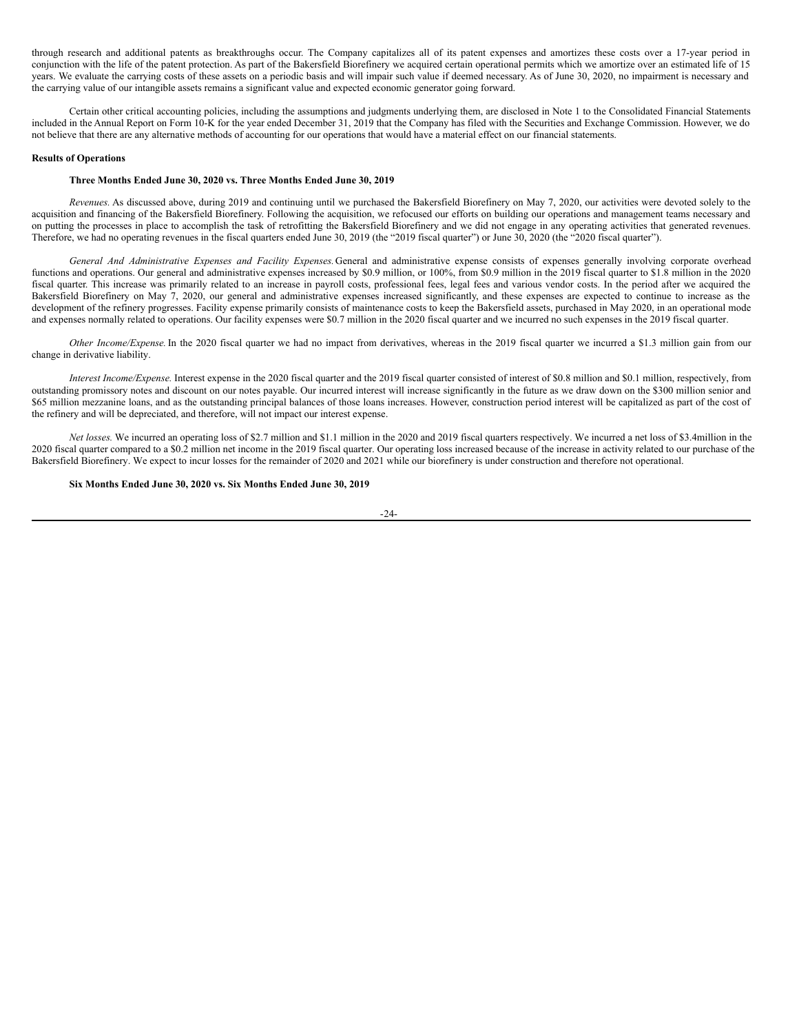through research and additional patents as breakthroughs occur. The Company capitalizes all of its patent expenses and amortizes these costs over a 17-year period in conjunction with the life of the patent protection. As part of the Bakersfield Biorefinery we acquired certain operational permits which we amortize over an estimated life of 15 years. We evaluate the carrying costs of these assets on a periodic basis and will impair such value if deemed necessary. As of June 30, 2020, no impairment is necessary and the carrying value of our intangible assets remains a significant value and expected economic generator going forward.

Certain other critical accounting policies, including the assumptions and judgments underlying them, are disclosed in Note 1 to the Consolidated Financial Statements included in the Annual Report on Form 10-K for the year ended December 31, 2019 that the Company has filed with the Securities and Exchange Commission. However, we do not believe that there are any alternative methods of accounting for our operations that would have a material effect on our financial statements.

#### **Results of Operations**

### **Three Months Ended June 30, 2020 vs. Three Months Ended June 30, 2019**

*Revenues.* As discussed above, during 2019 and continuing until we purchased the Bakersfield Biorefinery on May 7, 2020, our activities were devoted solely to the acquisition and financing of the Bakersfield Biorefinery. Following the acquisition, we refocused our efforts on building our operations and management teams necessary and on putting the processes in place to accomplish the task of retrofitting the Bakersfield Biorefinery and we did not engage in any operating activities that generated revenues. Therefore, we had no operating revenues in the fiscal quarters ended June 30, 2019 (the "2019 fiscal quarter") or June 30, 2020 (the "2020 fiscal quarter").

*General And Administrative Expenses and Facility Expenses.*General and administrative expense consists of expenses generally involving corporate overhead functions and operations. Our general and administrative expenses increased by \$0.9 million, or 100%, from \$0.9 million in the 2019 fiscal quarter to \$1.8 million in the 2020 fiscal quarter. This increase was primarily related to an increase in payroll costs, professional fees, legal fees and various vendor costs. In the period after we acquired the Bakersfield Biorefinery on May 7, 2020, our general and administrative expenses increased significantly, and these expenses are expected to continue to increase as the development of the refinery progresses. Facility expense primarily consists of maintenance costs to keep the Bakersfield assets, purchased in May 2020, in an operational mode and expenses normally related to operations. Our facility expenses were \$0.7 million in the 2020 fiscal quarter and we incurred no such expenses in the 2019 fiscal quarter.

*Other Income/Expense.*In the 2020 fiscal quarter we had no impact from derivatives, whereas in the 2019 fiscal quarter we incurred a \$1.3 million gain from our change in derivative liability.

*Interest Income/Expense.* Interest expense in the 2020 fiscal quarter and the 2019 fiscal quarter consisted of interest of \$0.8 million and \$0.1 million, respectively, from outstanding promissory notes and discount on our notes payable. Our incurred interest will increase significantly in the future as we draw down on the \$300 million senior and \$65 million mezzanine loans, and as the outstanding principal balances of those loans increases. However, construction period interest will be capitalized as part of the cost of the refinery and will be depreciated, and therefore, will not impact our interest expense.

*Net losses.* We incurred an operating loss of \$2.7 million and \$1.1 million in the 2020 and 2019 fiscal quarters respectively. We incurred a net loss of \$3.4million in the 2020 fiscal quarter compared to a \$0.2 million net income in the 2019 fiscal quarter. Our operating loss increased because of the increase in activity related to our purchase of the Bakersfield Biorefinery. We expect to incur losses for the remainder of 2020 and 2021 while our biorefinery is under construction and therefore not operational.

#### **Six Months Ended June 30, 2020 vs. Six Months Ended June 30, 2019**

-24-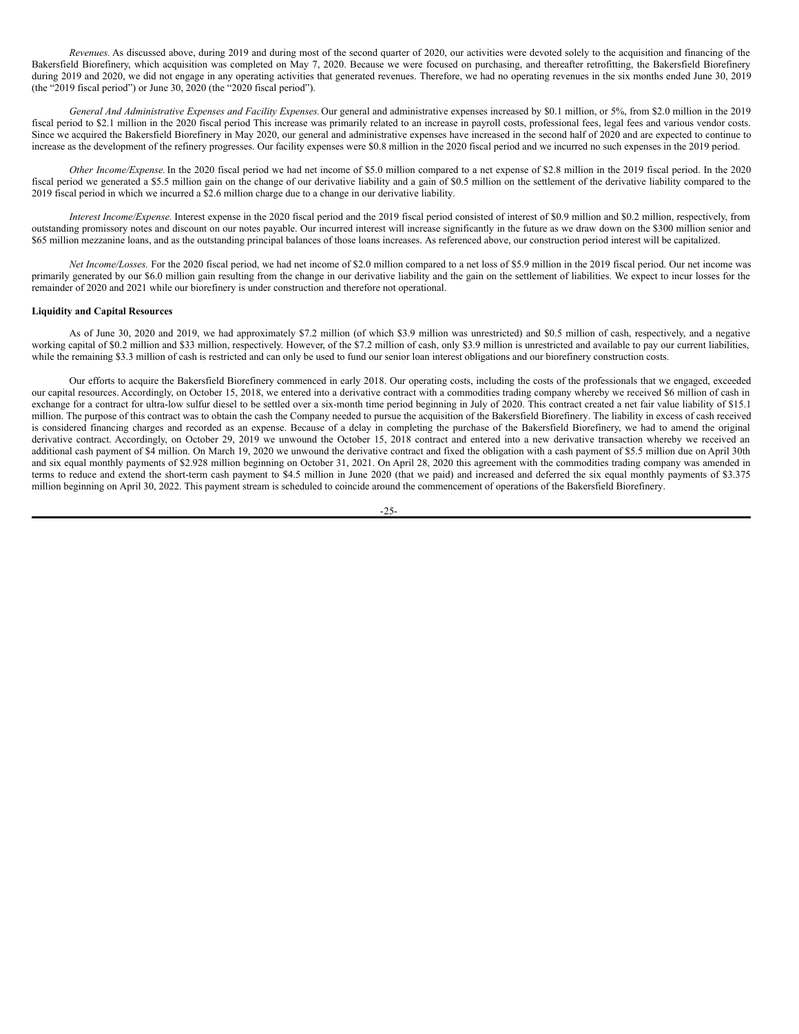*Revenues.* As discussed above, during 2019 and during most of the second quarter of 2020, our activities were devoted solely to the acquisition and financing of the Bakersfield Biorefinery, which acquisition was completed on May 7, 2020. Because we were focused on purchasing, and thereafter retrofitting, the Bakersfield Biorefinery during 2019 and 2020, we did not engage in any operating activities that generated revenues. Therefore, we had no operating revenues in the six months ended June 30, 2019 (the "2019 fiscal period") or June 30, 2020 (the "2020 fiscal period").

*General And Administrative Expenses and Facility Expenses.*Our general and administrative expenses increased by \$0.1 million, or 5%, from \$2.0 million in the 2019 fiscal period to \$2.1 million in the 2020 fiscal period This increase was primarily related to an increase in payroll costs, professional fees, legal fees and various vendor costs. Since we acquired the Bakersfield Biorefinery in May 2020, our general and administrative expenses have increased in the second half of 2020 and are expected to continue to increase as the development of the refinery progresses. Our facility expenses were \$0.8 million in the 2020 fiscal period and we incurred no such expenses in the 2019 period.

*Other Income/Expense.*In the 2020 fiscal period we had net income of \$5.0 million compared to a net expense of \$2.8 million in the 2019 fiscal period. In the 2020 fiscal period we generated a \$5.5 million gain on the change of our derivative liability and a gain of \$0.5 million on the settlement of the derivative liability compared to the 2019 fiscal period in which we incurred a \$2.6 million charge due to a change in our derivative liability.

*Interest Income/Expense.* Interest expense in the 2020 fiscal period and the 2019 fiscal period consisted of interest of \$0.9 million and \$0.2 million, respectively, from outstanding promissory notes and discount on our notes payable. Our incurred interest will increase significantly in the future as we draw down on the \$300 million senior and \$65 million mezzanine loans, and as the outstanding principal balances of those loans increases. As referenced above, our construction period interest will be capitalized.

*Net Income/Losses.* For the 2020 fiscal period, we had net income of \$2.0 million compared to a net loss of \$5.9 million in the 2019 fiscal period. Our net income was primarily generated by our \$6.0 million gain resulting from the change in our derivative liability and the gain on the settlement of liabilities. We expect to incur losses for the remainder of 2020 and 2021 while our biorefinery is under construction and therefore not operational.

### **Liquidity and Capital Resources**

As of June 30, 2020 and 2019, we had approximately \$7.2 million (of which \$3.9 million was unrestricted) and \$0.5 million of cash, respectively, and a negative working capital of \$0.2 million and \$33 million, respectively. However, of the \$7.2 million of cash, only \$3.9 million is unrestricted and available to pay our current liabilities, while the remaining \$3.3 million of cash is restricted and can only be used to fund our senior loan interest obligations and our biorefinery construction costs.

Our efforts to acquire the Bakersfield Biorefinery commenced in early 2018. Our operating costs, including the costs of the professionals that we engaged, exceeded our capital resources. Accordingly, on October 15, 2018, we entered into a derivative contract with a commodities trading company whereby we received \$6 million of cash in exchange for a contract for ultra-low sulfur diesel to be settled over a six-month time period beginning in July of 2020. This contract created a net fair value liability of \$15.1 million. The purpose of this contract was to obtain the cash the Company needed to pursue the acquisition of the Bakersfield Biorefinery. The liability in excess of cash received is considered financing charges and recorded as an expense. Because of a delay in completing the purchase of the Bakersfield Biorefinery, we had to amend the original derivative contract. Accordingly, on October 29, 2019 we unwound the October 15, 2018 contract and entered into a new derivative transaction whereby we received an additional cash payment of \$4 million. On March 19, 2020 we unwound the derivative contract and fixed the obligation with a cash payment of \$5.5 million due on April 30th and six equal monthly payments of \$2.928 million beginning on October 31, 2021. On April 28, 2020 this agreement with the commodities trading company was amended in terms to reduce and extend the short-term cash payment to \$4.5 million in June 2020 (that we paid) and increased and deferred the six equal monthly payments of \$3.375 million beginning on April 30, 2022. This payment stream is scheduled to coincide around the commencement of operations of the Bakersfield Biorefinery.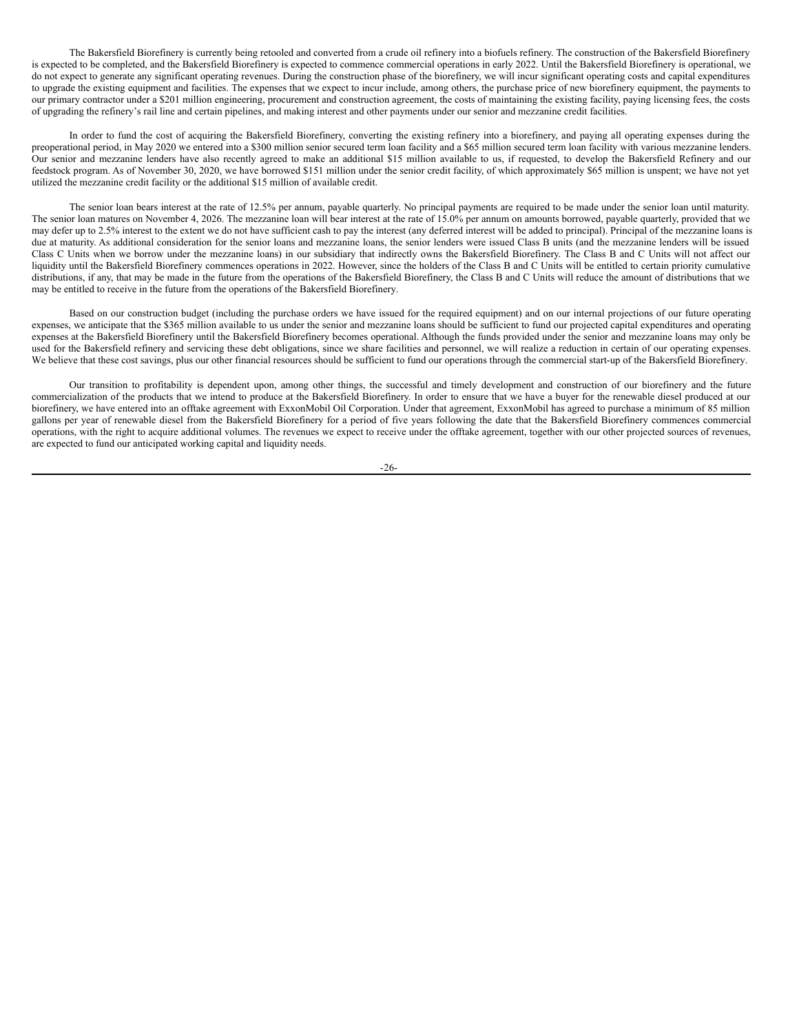The Bakersfield Biorefinery is currently being retooled and converted from a crude oil refinery into a biofuels refinery. The construction of the Bakersfield Biorefinery is expected to be completed, and the Bakersfield Biorefinery is expected to commence commercial operations in early 2022. Until the Bakersfield Biorefinery is operational, we do not expect to generate any significant operating revenues. During the construction phase of the biorefinery, we will incur significant operating costs and capital expenditures to upgrade the existing equipment and facilities. The expenses that we expect to incur include, among others, the purchase price of new biorefinery equipment, the payments to our primary contractor under a \$201 million engineering, procurement and construction agreement, the costs of maintaining the existing facility, paying licensing fees, the costs of upgrading the refinery's rail line and certain pipelines, and making interest and other payments under our senior and mezzanine credit facilities.

In order to fund the cost of acquiring the Bakersfield Biorefinery, converting the existing refinery into a biorefinery, and paying all operating expenses during the preoperational period, in May 2020 we entered into a \$300 million senior secured term loan facility and a \$65 million secured term loan facility with various mezzanine lenders. Our senior and mezzanine lenders have also recently agreed to make an additional \$15 million available to us, if requested, to develop the Bakersfield Refinery and our feedstock program. As of November 30, 2020, we have borrowed \$151 million under the senior credit facility, of which approximately \$65 million is unspent; we have not yet utilized the mezzanine credit facility or the additional \$15 million of available credit.

The senior loan bears interest at the rate of 12.5% per annum, payable quarterly. No principal payments are required to be made under the senior loan until maturity. The senior loan matures on November 4, 2026. The mezzanine loan will bear interest at the rate of 15.0% per annum on amounts borrowed, payable quarterly, provided that we may defer up to 2.5% interest to the extent we do not have sufficient cash to pay the interest (any deferred interest will be added to principal). Principal of the mezzanine loans is due at maturity. As additional consideration for the senior loans and mezzanine loans, the senior lenders were issued Class B units (and the mezzanine lenders will be issued Class C Units when we borrow under the mezzanine loans) in our subsidiary that indirectly owns the Bakersfield Biorefinery. The Class B and C Units will not affect our liquidity until the Bakersfield Biorefinery commences operations in 2022. However, since the holders of the Class B and C Units will be entitled to certain priority cumulative distributions, if any, that may be made in the future from the operations of the Bakersfield Biorefinery, the Class B and C Units will reduce the amount of distributions that we may be entitled to receive in the future from the operations of the Bakersfield Biorefinery.

Based on our construction budget (including the purchase orders we have issued for the required equipment) and on our internal projections of our future operating expenses, we anticipate that the \$365 million available to us under the senior and mezzanine loans should be sufficient to fund our projected capital expenditures and operating expenses at the Bakersfield Biorefinery until the Bakersfield Biorefinery becomes operational. Although the funds provided under the senior and mezzanine loans may only be used for the Bakersfield refinery and servicing these debt obligations, since we share facilities and personnel, we will realize a reduction in certain of our operating expenses. We believe that these cost savings, plus our other financial resources should be sufficient to fund our operations through the commercial start-up of the Bakersfield Biorefinery.

Our transition to profitability is dependent upon, among other things, the successful and timely development and construction of our biorefinery and the future commercialization of the products that we intend to produce at the Bakersfield Biorefinery. In order to ensure that we have a buyer for the renewable diesel produced at our biorefinery, we have entered into an offtake agreement with ExxonMobil Oil Corporation. Under that agreement, ExxonMobil has agreed to purchase a minimum of 85 million gallons per year of renewable diesel from the Bakersfield Biorefinery for a period of five years following the date that the Bakersfield Biorefinery commences commercial operations, with the right to acquire additional volumes. The revenues we expect to receive under the offtake agreement, together with our other projected sources of revenues, are expected to fund our anticipated working capital and liquidity needs.

-26-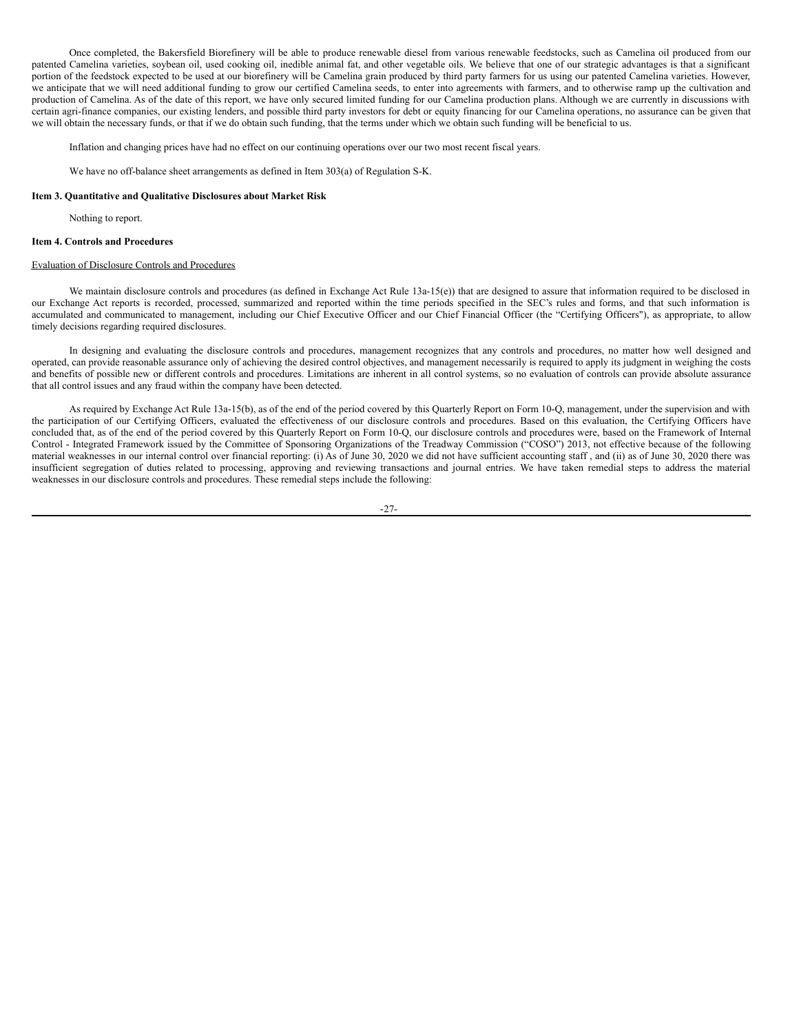Once completed, the Bakersfield Biorefinery will be able to produce renewable diesel from various renewable feedstocks, such as Camelina oil produced from our patented Camelina varieties, soybean oil, used cooking oil, inedible animal fat, and other vegetable oils. We believe that one of our strategic advantages is that a significant portion of the feedstock expected to be used at our biorefinery will be Camelina grain produced by third party farmers for us using our patented Camelina varieties. However, we anticipate that we will need additional funding to grow our certified Camelina seeds, to enter into agreements with farmers, and to otherwise ramp up the cultivation and production of Camelina. As of the date of this report, we have only secured limited funding for our Camelina production plans. Although we are currently in discussions with certain agri-finance companies, our existing lenders, and possible third party investors for debt or equity financing for our Camelina operations, no assurance can be given that we will obtain the necessary funds, or that if we do obtain such funding, that the terms under which we obtain such funding will be beneficial to us.

Inflation and changing prices have had no effect on our continuing operations over our two most recent fiscal years.

We have no off-balance sheet arrangements as defined in Item 303(a) of Regulation S-K.

#### **Item 3. Quantitative and Qualitative Disclosures about Market Risk**

Nothing to report.

#### **Item 4. Controls and Procedures**

### Evaluation of Disclosure Controls and Procedures

We maintain disclosure controls and procedures (as defined in Exchange Act Rule 13a-15(e)) that are designed to assure that information required to be disclosed in our Exchange Act reports is recorded, processed, summarized and reported within the time periods specified in the SEC's rules and forms, and that such information is accumulated and communicated to management, including our Chief Executive Officer and our Chief Financial Officer (the "Certifying Officers"), as appropriate, to allow timely decisions regarding required disclosures.

In designing and evaluating the disclosure controls and procedures, management recognizes that any controls and procedures, no matter how well designed and operated, can provide reasonable assurance only of achieving the desired control objectives, and management necessarily is required to apply its judgment in weighing the costs and benefits of possible new or different controls and procedures. Limitations are inherent in all control systems, so no evaluation of controls can provide absolute assurance that all control issues and any fraud within the company have been detected.

As required by Exchange Act Rule 13a-15(b), as of the end of the period covered by this Quarterly Report on Form 10-Q, management, under the supervision and with the participation of our Certifying Officers, evaluated the effectiveness of our disclosure controls and procedures. Based on this evaluation, the Certifying Officers have concluded that, as of the end of the period covered by this Quarterly Report on Form 10-Q, our disclosure controls and procedures were, based on the Framework of Internal Control - Integrated Framework issued by the Committee of Sponsoring Organizations of the Treadway Commission ("COSO") 2013, not effective because of the following material weaknesses in our internal control over financial reporting: (i) As of June 30, 2020 we did not have sufficient accounting staff , and (ii) as of June 30, 2020 there was insufficient segregation of duties related to processing, approving and reviewing transactions and journal entries. We have taken remedial steps to address the material weaknesses in our disclosure controls and procedures. These remedial steps include the following:

#### -27-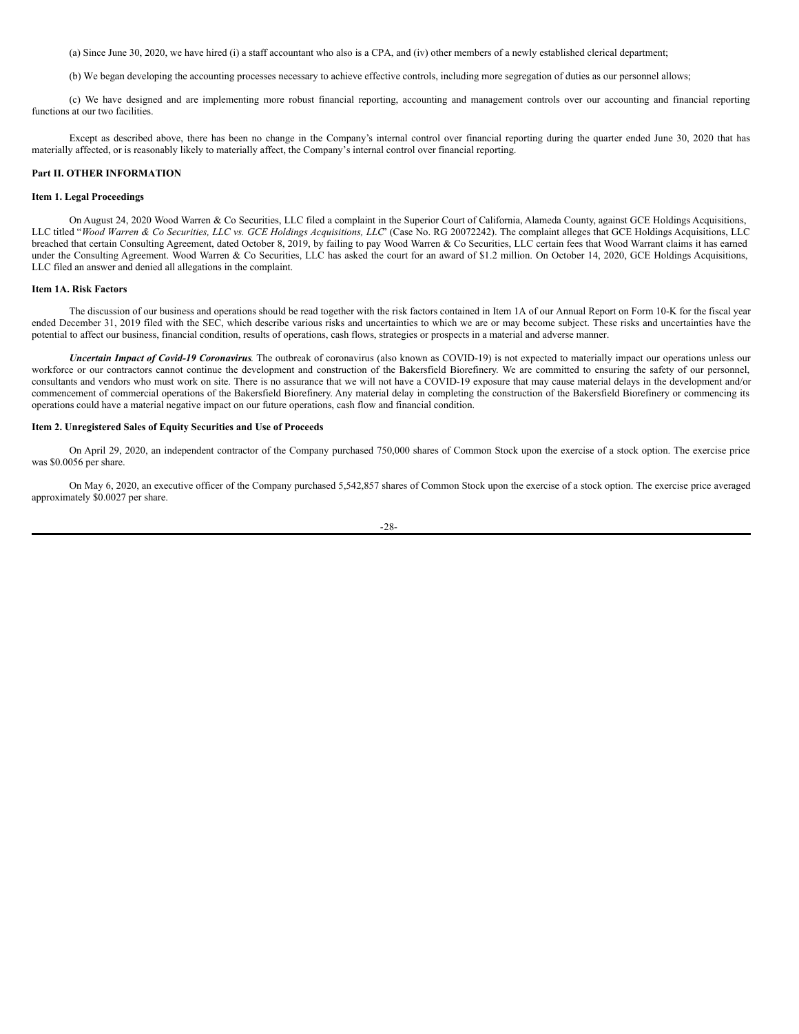(a) Since June 30, 2020, we have hired (i) a staff accountant who also is a CPA, and (iv) other members of a newly established clerical department;

(b) We began developing the accounting processes necessary to achieve effective controls, including more segregation of duties as our personnel allows;

(c) We have designed and are implementing more robust financial reporting, accounting and management controls over our accounting and financial reporting functions at our two facilities.

Except as described above, there has been no change in the Company's internal control over financial reporting during the quarter ended June 30, 2020 that has materially affected, or is reasonably likely to materially affect, the Company's internal control over financial reporting.

# **Part II. OTHER INFORMATION**

### **Item 1. Legal Proceedings**

On August 24, 2020 Wood Warren & Co Securities, LLC filed a complaint in the Superior Court of California, Alameda County, against GCE Holdings Acquisitions, LLC titled "Wood Warren & Co Securities, LLC vs. GCE Holdings Acquisitions, LLC' (Case No. RG 20072242). The complaint alleges that GCE Holdings Acquisitions, LLC breached that certain Consulting Agreement, dated October 8, 2019, by failing to pay Wood Warren & Co Securities, LLC certain fees that Wood Warrant claims it has earned under the Consulting Agreement. Wood Warren & Co Securities, LLC has asked the court for an award of \$1.2 million. On October 14, 2020, GCE Holdings Acquisitions, LLC filed an answer and denied all allegations in the complaint.

### **Item 1A. Risk Factors**

The discussion of our business and operations should be read together with the risk factors contained in Item 1A of our Annual Report on Form 10-K for the fiscal year ended December 31, 2019 filed with the SEC, which describe various risks and uncertainties to which we are or may become subject. These risks and uncertainties have the potential to affect our business, financial condition, results of operations, cash flows, strategies or prospects in a material and adverse manner.

*Uncertain Impact of Covid-19 Coronavirus*. The outbreak of coronavirus (also known as COVID-19) is not expected to materially impact our operations unless our workforce or our contractors cannot continue the development and construction of the Bakersfield Biorefinery. We are committed to ensuring the safety of our personnel, consultants and vendors who must work on site. There is no assurance that we will not have a COVID-19 exposure that may cause material delays in the development and/or commencement of commercial operations of the Bakersfield Biorefinery. Any material delay in completing the construction of the Bakersfield Biorefinery or commencing its operations could have a material negative impact on our future operations, cash flow and financial condition.

### **Item 2. Unregistered Sales of Equity Securities and Use of Proceeds**

On April 29, 2020, an independent contractor of the Company purchased 750,000 shares of Common Stock upon the exercise of a stock option. The exercise price was \$0.0056 per share.

On May 6, 2020, an executive officer of the Company purchased 5,542,857 shares of Common Stock upon the exercise of a stock option. The exercise price averaged approximately \$0.0027 per share.

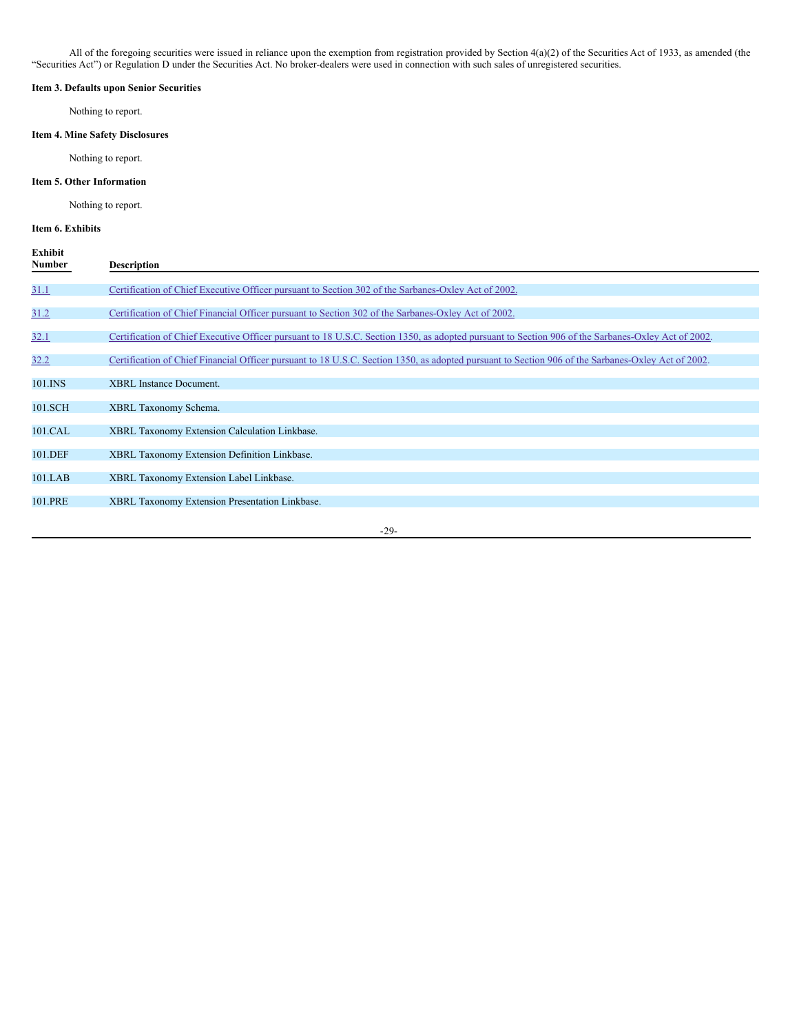All of the foregoing securities were issued in reliance upon the exemption from registration provided by Section 4(a)(2) of the Securities Act of 1933, as amended (the "Securities Act") or Regulation D under the Securities Act. No broker-dealers were used in connection with such sales of unregistered securities.

# **Item 3. Defaults upon Senior Securities**

Nothing to report.

# **Item 4. Mine Safety Disclosures**

Nothing to report.

### **Item 5. Other Information**

Nothing to report.

# **Item 6. Exhibits**

| Exhibit<br>Number | <b>Description</b>                                                                                                                                 |
|-------------------|----------------------------------------------------------------------------------------------------------------------------------------------------|
|                   |                                                                                                                                                    |
| 31.1              | Certification of Chief Executive Officer pursuant to Section 302 of the Sarbanes-Oxley Act of 2002.                                                |
|                   |                                                                                                                                                    |
| 31.2              | Certification of Chief Financial Officer pursuant to Section 302 of the Sarbanes-Oxley Act of 2002.                                                |
| 32.1              | Certification of Chief Executive Officer pursuant to 18 U.S.C. Section 1350, as adopted pursuant to Section 906 of the Sarbanes-Oxley Act of 2002. |
| 32.2              | Certification of Chief Financial Officer pursuant to 18 U.S.C. Section 1350, as adopted pursuant to Section 906 of the Sarbanes-Oxley Act of 2002. |
| 101.INS           | <b>XBRL</b> Instance Document.                                                                                                                     |
| 101.SCH           | XBRL Taxonomy Schema.                                                                                                                              |
| 101.CAL           | XBRL Taxonomy Extension Calculation Linkbase.                                                                                                      |
| 101.DEF           | XBRL Taxonomy Extension Definition Linkbase.                                                                                                       |
| 101.LAB           | XBRL Taxonomy Extension Label Linkbase.                                                                                                            |
| 101.PRE           | XBRL Taxonomy Extension Presentation Linkbase.                                                                                                     |
|                   |                                                                                                                                                    |

-29-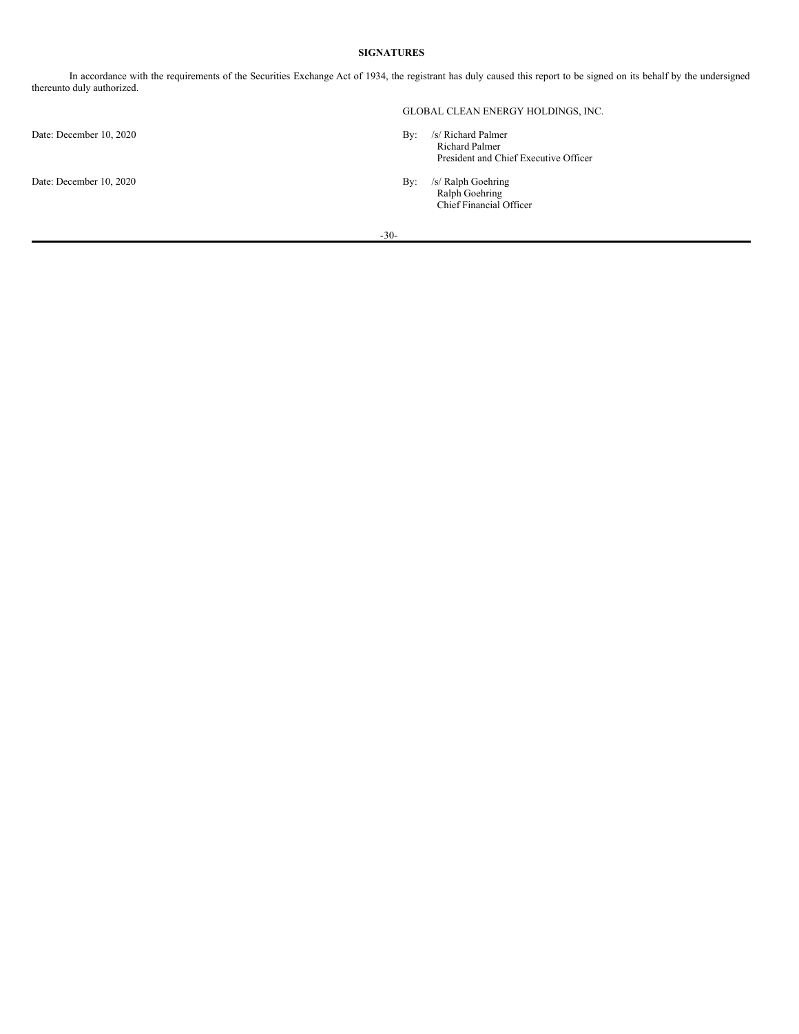# **SIGNATURES**

In accordance with the requirements of the Securities Exchange Act of 1934, the registrant has duly caused this report to be signed on its behalf by the undersigned thereunto duly authorized.

Date: December 10, 2020 By: /s/ Richard Palmer

# GLOBAL CLEAN ENERGY HOLDINGS, INC.

- Richard Palmer President and Chief Executive Officer
- Date: December 10, 2020 By: /s/ Ralph Goehring Ralph Goehring Chief Financial Officer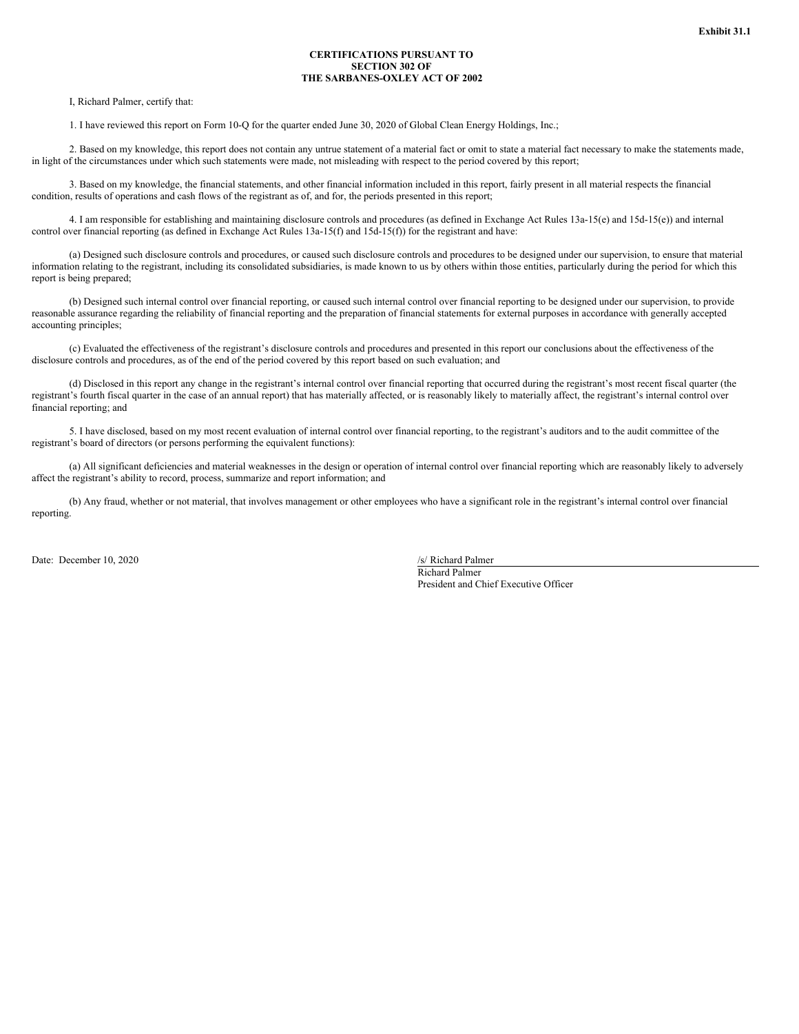### **CERTIFICATIONS PURSUANT TO SECTION 302 OF THE SARBANES-OXLEY ACT OF 2002**

<span id="page-31-0"></span>I, Richard Palmer, certify that:

1. I have reviewed this report on Form 10-Q for the quarter ended June 30, 2020 of Global Clean Energy Holdings, Inc.;

2. Based on my knowledge, this report does not contain any untrue statement of a material fact or omit to state a material fact necessary to make the statements made, in light of the circumstances under which such statements were made, not misleading with respect to the period covered by this report;

3. Based on my knowledge, the financial statements, and other financial information included in this report, fairly present in all material respects the financial condition, results of operations and cash flows of the registrant as of, and for, the periods presented in this report;

4. I am responsible for establishing and maintaining disclosure controls and procedures (as defined in Exchange Act Rules 13a-15(e) and 15d-15(e)) and internal control over financial reporting (as defined in Exchange Act Rules 13a-15(f) and 15d-15(f)) for the registrant and have:

(a) Designed such disclosure controls and procedures, or caused such disclosure controls and procedures to be designed under our supervision, to ensure that material information relating to the registrant, including its consolidated subsidiaries, is made known to us by others within those entities, particularly during the period for which this report is being prepared;

(b) Designed such internal control over financial reporting, or caused such internal control over financial reporting to be designed under our supervision, to provide reasonable assurance regarding the reliability of financial reporting and the preparation of financial statements for external purposes in accordance with generally accepted accounting principles;

(c) Evaluated the effectiveness of the registrant's disclosure controls and procedures and presented in this report our conclusions about the effectiveness of the disclosure controls and procedures, as of the end of the period covered by this report based on such evaluation; and

(d) Disclosed in this report any change in the registrant's internal control over financial reporting that occurred during the registrant's most recent fiscal quarter (the registrant's fourth fiscal quarter in the case of an annual report) that has materially affected, or is reasonably likely to materially affect, the registrant's internal control over financial reporting; and

5. I have disclosed, based on my most recent evaluation of internal control over financial reporting, to the registrant's auditors and to the audit committee of the registrant's board of directors (or persons performing the equivalent functions):

(a) All significant deficiencies and material weaknesses in the design or operation of internal control over financial reporting which are reasonably likely to adversely affect the registrant's ability to record, process, summarize and report information; and

(b) Any fraud, whether or not material, that involves management or other employees who have a significant role in the registrant's internal control over financial reporting.

Date: December 10, 2020 /s/ Richard Palmer

Richard Palmer President and Chief Executive Officer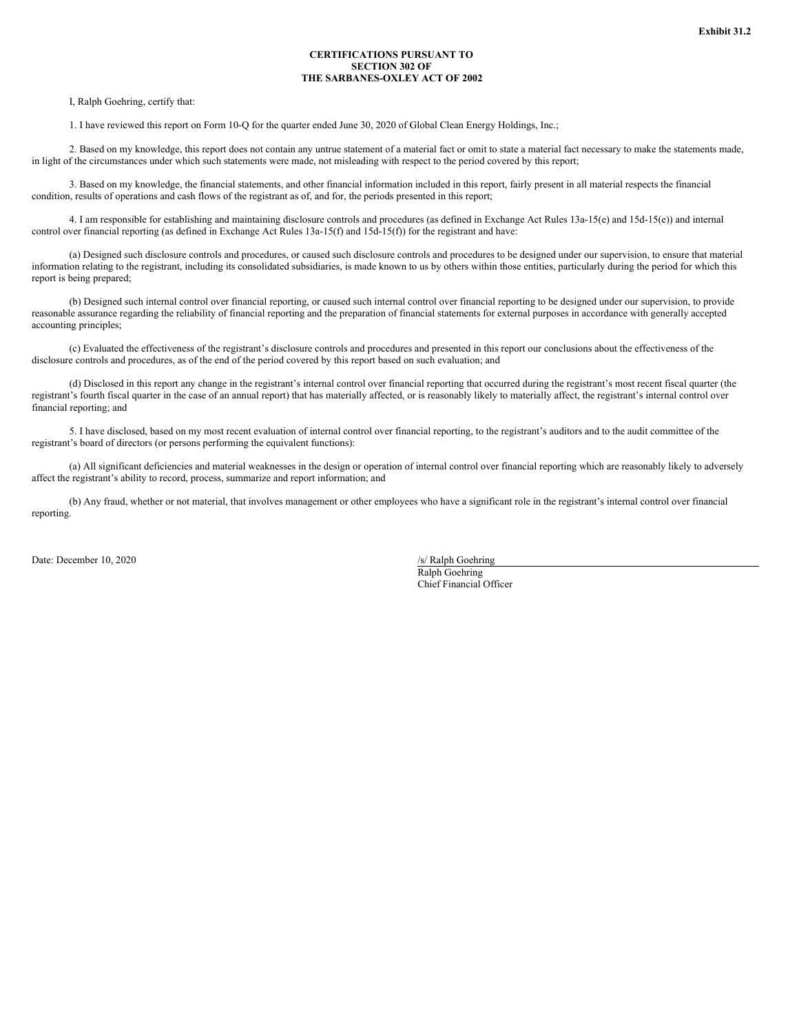### **CERTIFICATIONS PURSUANT TO SECTION 302 OF THE SARBANES-OXLEY ACT OF 2002**

<span id="page-32-0"></span>I, Ralph Goehring, certify that:

1. I have reviewed this report on Form 10-Q for the quarter ended June 30, 2020 of Global Clean Energy Holdings, Inc.;

2. Based on my knowledge, this report does not contain any untrue statement of a material fact or omit to state a material fact necessary to make the statements made, in light of the circumstances under which such statements were made, not misleading with respect to the period covered by this report;

3. Based on my knowledge, the financial statements, and other financial information included in this report, fairly present in all material respects the financial condition, results of operations and cash flows of the registrant as of, and for, the periods presented in this report;

4. I am responsible for establishing and maintaining disclosure controls and procedures (as defined in Exchange Act Rules 13a-15(e) and 15d-15(e)) and internal control over financial reporting (as defined in Exchange Act Rules 13a-15(f) and 15d-15(f)) for the registrant and have:

(a) Designed such disclosure controls and procedures, or caused such disclosure controls and procedures to be designed under our supervision, to ensure that material information relating to the registrant, including its consolidated subsidiaries, is made known to us by others within those entities, particularly during the period for which this report is being prepared;

(b) Designed such internal control over financial reporting, or caused such internal control over financial reporting to be designed under our supervision, to provide reasonable assurance regarding the reliability of financial reporting and the preparation of financial statements for external purposes in accordance with generally accepted accounting principles;

(c) Evaluated the effectiveness of the registrant's disclosure controls and procedures and presented in this report our conclusions about the effectiveness of the disclosure controls and procedures, as of the end of the period covered by this report based on such evaluation; and

(d) Disclosed in this report any change in the registrant's internal control over financial reporting that occurred during the registrant's most recent fiscal quarter (the registrant's fourth fiscal quarter in the case of an annual report) that has materially affected, or is reasonably likely to materially affect, the registrant's internal control over financial reporting; and

5. I have disclosed, based on my most recent evaluation of internal control over financial reporting, to the registrant's auditors and to the audit committee of the registrant's board of directors (or persons performing the equivalent functions):

(a) All significant deficiencies and material weaknesses in the design or operation of internal control over financial reporting which are reasonably likely to adversely affect the registrant's ability to record, process, summarize and report information; and

(b) Any fraud, whether or not material, that involves management or other employees who have a significant role in the registrant's internal control over financial reporting.

Date: December 10, 2020 /s/ Ralph Goehring

Ralph Goehring Chief Financial Officer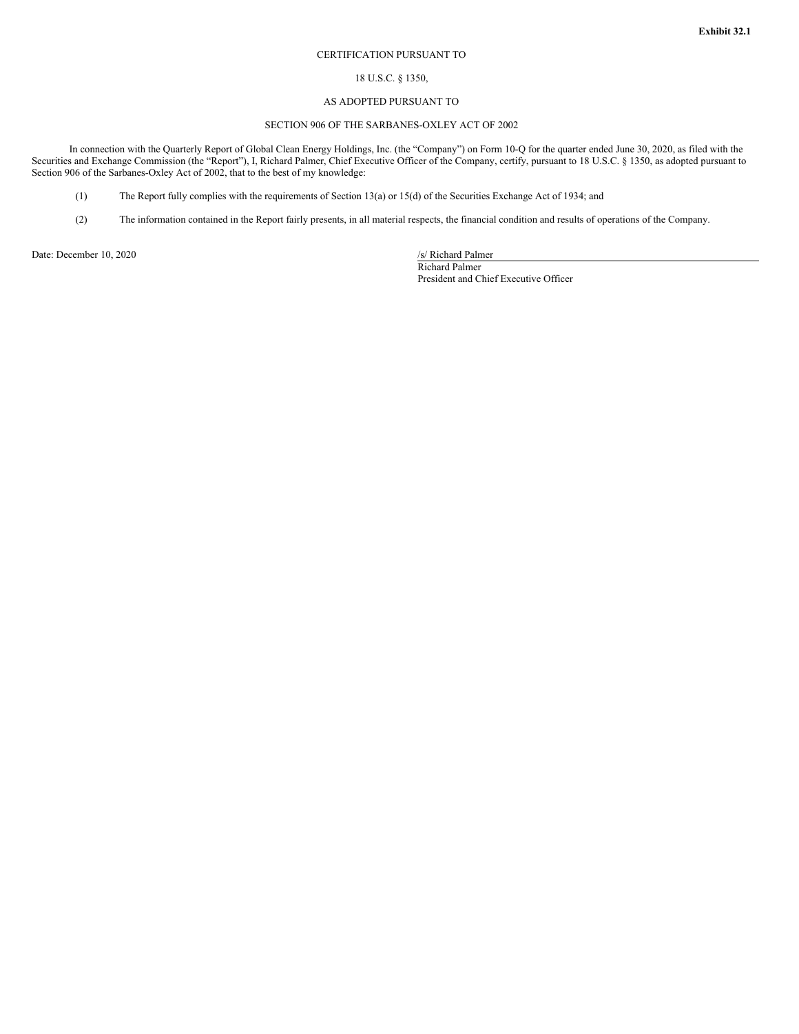#### CERTIFICATION PURSUANT TO

### 18 U.S.C. § 1350,

### AS ADOPTED PURSUANT TO

# SECTION 906 OF THE SARBANES-OXLEY ACT OF 2002

<span id="page-33-0"></span>In connection with the Quarterly Report of Global Clean Energy Holdings, Inc. (the "Company") on Form 10-Q for the quarter ended June 30, 2020, as filed with the Securities and Exchange Commission (the "Report"), I, Richard Palmer, Chief Executive Officer of the Company, certify, pursuant to 18 U.S.C. § 1350, as adopted pursuant to Section 906 of the Sarbanes-Oxley Act of 2002, that to the best of my knowledge:

- (1) The Report fully complies with the requirements of Section 13(a) or 15(d) of the Securities Exchange Act of 1934; and
- (2) The information contained in the Report fairly presents, in all material respects, the financial condition and results of operations of the Company.

Date: December 10, 2020 /s/ Richard Palmer

Richard Palmer President and Chief Executive Officer